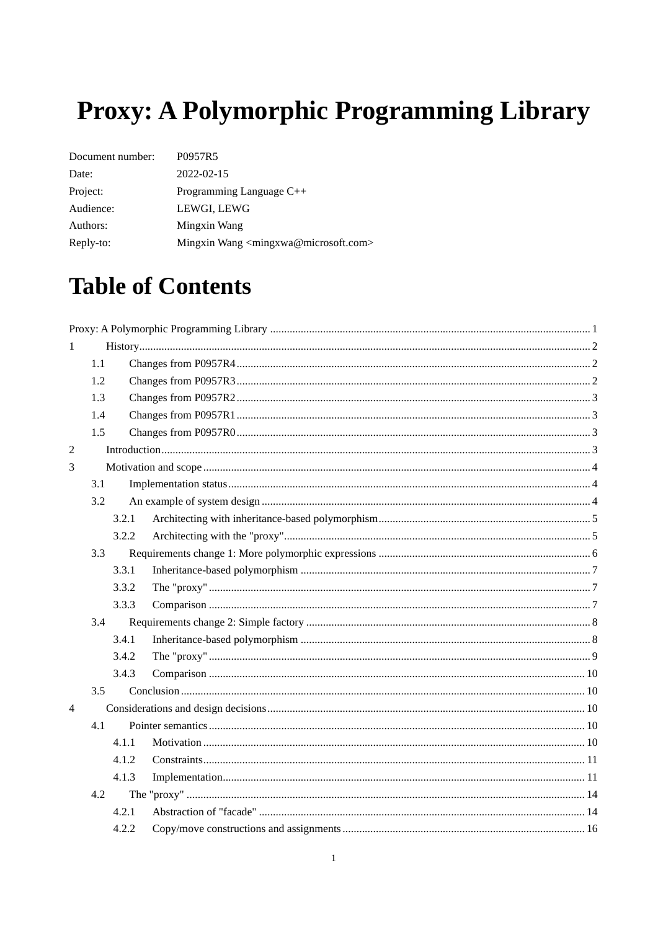# <span id="page-0-0"></span>Proxy: A Polymorphic Programming Library

| Document number: | P0957R5                                                      |
|------------------|--------------------------------------------------------------|
| Date:            | $2022 - 02 - 15$                                             |
| Project:         | Programming Language C++                                     |
| Audience:        | LEWGI, LEWG                                                  |
| Authors:         | Mingxin Wang                                                 |
| Reply-to:        | Mingxin Wang <mingxwa@microsoft.com></mingxwa@microsoft.com> |

# **Table of Contents**

| 1              |     |       |  |
|----------------|-----|-------|--|
|                | 1.1 |       |  |
|                | 1.2 |       |  |
|                | 1.3 |       |  |
|                | 1.4 |       |  |
|                | 1.5 |       |  |
| $\overline{2}$ |     |       |  |
| 3              |     |       |  |
|                | 3.1 |       |  |
|                | 3.2 |       |  |
|                |     | 3.2.1 |  |
|                |     | 3.2.2 |  |
|                | 3.3 |       |  |
|                |     | 3.3.1 |  |
|                |     | 3.3.2 |  |
|                |     | 3.3.3 |  |
|                | 3.4 |       |  |
|                |     | 3.4.1 |  |
|                |     | 3.4.2 |  |
|                |     | 3.4.3 |  |
|                | 3.5 |       |  |
| $\overline{4}$ |     |       |  |
|                | 4.1 |       |  |
|                |     | 4.1.1 |  |
|                |     | 4.1.2 |  |
|                |     | 4.1.3 |  |
|                | 4.2 |       |  |
|                |     | 4.2.1 |  |
|                |     | 4.2.2 |  |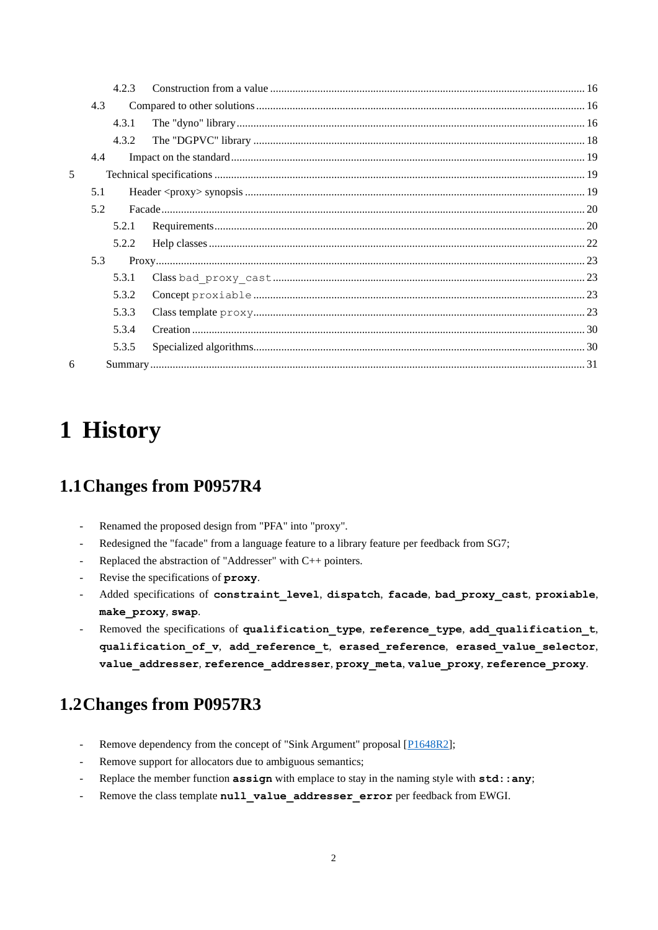|                |     | 4.2.3 |  |
|----------------|-----|-------|--|
|                | 4.3 |       |  |
|                |     | 4.3.1 |  |
|                |     | 4.3.2 |  |
|                | 4.4 |       |  |
| $\overline{5}$ |     |       |  |
|                | 5.1 |       |  |
|                | 5.2 |       |  |
|                |     | 5.2.1 |  |
|                |     | 5.2.2 |  |
|                | 5.3 |       |  |
|                |     | 5.3.1 |  |
|                |     | 5.3.2 |  |
|                |     | 5.3.3 |  |
|                |     | 5.3.4 |  |
|                |     | 5.3.5 |  |
| 6              |     |       |  |

# <span id="page-1-0"></span>**1 History**

# <span id="page-1-1"></span>**1.1Changes from P0957R4**

- Renamed the proposed design from "PFA" into "proxy".
- Redesigned the "facade" from a language feature to a library feature per feedback from SG7;
- Replaced the abstraction of "Addresser" with C++ pointers.
- Revise the specifications of **proxy**.
- Added specifications of **constraint\_level**, **dispatch**, **facade**, **bad\_proxy\_cast**, **proxiable**, **make\_proxy**, **swap**.
- Removed the specifications of **qualification\_type**, **reference\_type**, **add\_qualification\_t**, **qualification\_of\_v**, **add\_reference\_t**, **erased\_reference**, **erased\_value\_selector**, **value\_addresser**, **reference\_addresser**, **proxy\_meta**, **value\_proxy**, **reference\_proxy**.

# <span id="page-1-2"></span>**1.2Changes from P0957R3**

- Remove dependency from the concept of "Sink Argument" proposal [\[P1648R2\]](http://www.open-std.org/jtc1/sc22/wg21/docs/papers/2019/p1648r2.pdf);
- Remove support for allocators due to ambiguous semantics;
- Replace the member function **assign** with emplace to stay in the naming style with **std:**: any;
- Remove the class template **null value addresser error** per feedback from EWGI.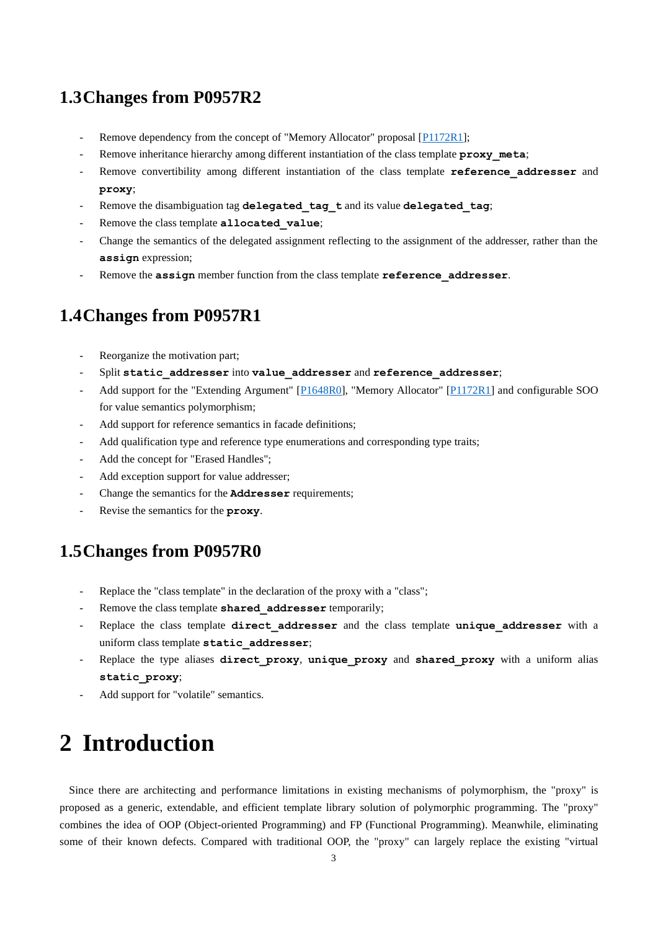## <span id="page-2-0"></span>**1.3Changes from P0957R2**

- Remove dependency from the concept of "Memory Allocator" proposal [\[P1172R1\]](http://www.open-std.org/jtc1/sc22/wg21/docs/papers/2019/p1172r1.pdf);
- Remove inheritance hierarchy among different instantiation of the class template **proxy** meta;
- Remove convertibility among different instantiation of the class template **reference addresser** and **proxy**;
- Remove the disambiguation tag **delegated** tag t and its value **delegated** tag;
- Remove the class template **allocated** value;
- Change the semantics of the delegated assignment reflecting to the assignment of the addresser, rather than the **assign** expression;
- Remove the **assign** member function from the class template **reference** addresser.

## <span id="page-2-1"></span>**1.4Changes from P0957R1**

- Reorganize the motivation part;
- Split static addresser into value addresser and reference addresser;
- Add support for the "Extending Argument" [\[P1648R0\]](http://www.open-std.org/jtc1/sc22/wg21/docs/papers/2019/p1648r0.pdf), "Memory Allocator" [\[P1172R1\]](http://www.open-std.org/jtc1/sc22/wg21/docs/papers/2019/p1172r1.pdf) and configurable SOO for value semantics polymorphism;
- Add support for reference semantics in facade definitions;
- Add qualification type and reference type enumerations and corresponding type traits;
- Add the concept for "Erased Handles";
- Add exception support for value addresser;
- Change the semantics for the **Addresser** requirements;
- Revise the semantics for the **proxy**.

### <span id="page-2-2"></span>**1.5Changes from P0957R0**

- Replace the "class template" in the declaration of the proxy with a "class";
- Remove the class template **shared** addresser temporarily;
- Replace the class template **direct addresser** and the class template **unique addresser** with a uniform class template **static\_addresser**;
- Replace the type aliases **direct\_proxy**, **unique\_proxy** and **shared\_proxy** with a uniform alias **static\_proxy**;
- <span id="page-2-3"></span>Add support for "volatile" semantics.

# **2 Introduction**

Since there are architecting and performance limitations in existing mechanisms of polymorphism, the "proxy" is proposed as a generic, extendable, and efficient template library solution of polymorphic programming. The "proxy" combines the idea of OOP (Object-oriented Programming) and FP (Functional Programming). Meanwhile, eliminating some of their known defects. Compared with traditional OOP, the "proxy" can largely replace the existing "virtual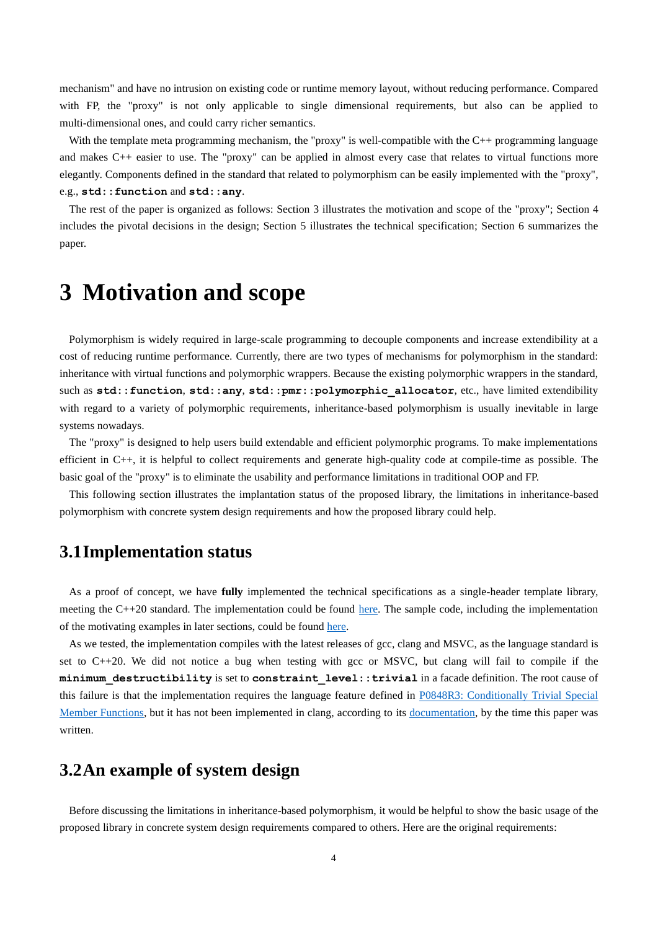mechanism" and have no intrusion on existing code or runtime memory layout, without reducing performance. Compared with FP, the "proxy" is not only applicable to single dimensional requirements, but also can be applied to multi-dimensional ones, and could carry richer semantics.

With the template meta programming mechanism, the "proxy" is well-compatible with the C++ programming language and makes C++ easier to use. The "proxy" can be applied in almost every case that relates to virtual functions more elegantly. Components defined in the standard that related to polymorphism can be easily implemented with the "proxy", e.g., **std::function** and **std::any**.

The rest of the paper is organized as follows: Section 3 illustrates the motivation and scope of the "proxy"; Section 4 includes the pivotal decisions in the design; Section 5 illustrates the technical specification; Section 6 summarizes the paper.

# <span id="page-3-0"></span>**3 Motivation and scope**

Polymorphism is widely required in large-scale programming to decouple components and increase extendibility at a cost of reducing runtime performance. Currently, there are two types of mechanisms for polymorphism in the standard: inheritance with virtual functions and polymorphic wrappers. Because the existing polymorphic wrappers in the standard, such as  $std:$ : function,  $std:$ : any,  $std:$ : pmr::polymorphic\_allocator, etc., have limited extendibility with regard to a variety of polymorphic requirements, inheritance-based polymorphism is usually inevitable in large systems nowadays.

The "proxy" is designed to help users build extendable and efficient polymorphic programs. To make implementations efficient in C++, it is helpful to collect requirements and generate high-quality code at compile-time as possible. The basic goal of the "proxy" is to eliminate the usability and performance limitations in traditional OOP and FP.

This following section illustrates the implantation status of the proposed library, the limitations in inheritance-based polymorphism with concrete system design requirements and how the proposed library could help.

### <span id="page-3-1"></span>**3.1Implementation status**

As a proof of concept, we have **fully** implemented the technical specifications as a single-header template library, meeting the C++20 standard. The implementation could be found [here.](https://github.com/mingxwa/my-stl/tree/cb79714c7f4332e302edcd1ec34535acf5b50b67/main/p0957) The sample code, including the implementation of the motivating examples in later sections, could be found [here.](https://github.com/mingxwa/my-stl/tree/cb79714c7f4332e302edcd1ec34535acf5b50b67/demo/p0957)

As we tested, the implementation compiles with the latest releases of gcc, clang and MSVC, as the language standard is set to C++20. We did not notice a bug when testing with gcc or MSVC, but clang will fail to compile if the **minimum\_destructibility** is set to **constraint\_level::trivial** in a facade definition. The root cause of this failure is that the implementation requires the language feature defined in P0848R3: Conditionally Trivial Special [Member Functions,](http://www.open-std.org/jtc1/sc22/wg21/docs/papers/2019/p0848r3.html) but it has not been implemented in clang, according to its [documentation,](https://clang.llvm.org/cxx_status.html) by the time this paper was written.

## <span id="page-3-2"></span>**3.2An example of system design**

Before discussing the limitations in inheritance-based polymorphism, it would be helpful to show the basic usage of the proposed library in concrete system design requirements compared to others. Here are the original requirements: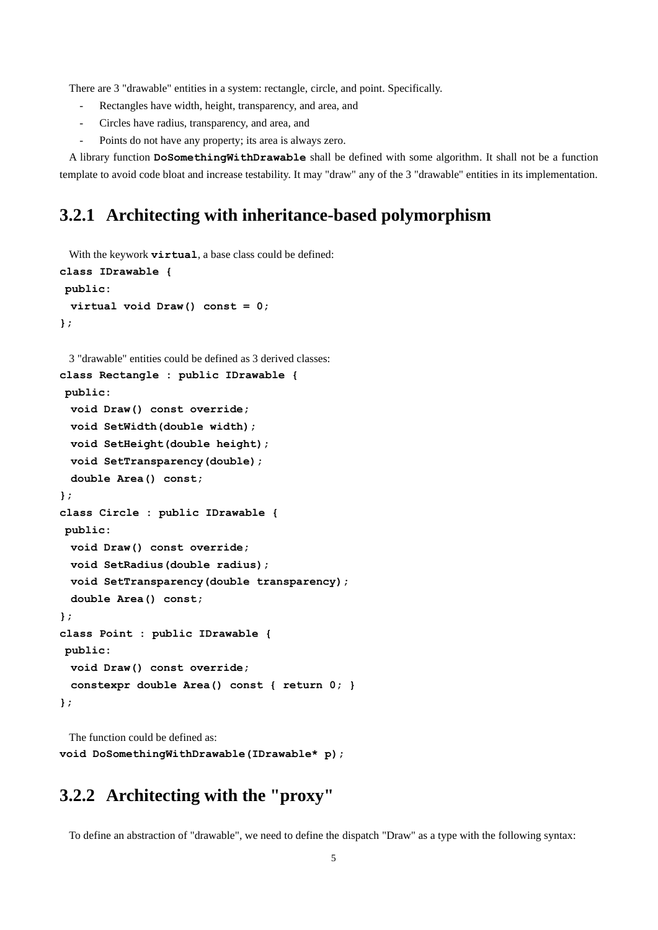There are 3 "drawable" entities in a system: rectangle, circle, and point. Specifically.

- Rectangles have width, height, transparency, and area, and
- Circles have radius, transparency, and area, and
- Points do not have any property; its area is always zero.

A library function **DoSomethingWithDrawable** shall be defined with some algorithm. It shall not be a function template to avoid code bloat and increase testability. It may "draw" any of the 3 "drawable" entities in its implementation.

# <span id="page-4-0"></span>**3.2.1 Architecting with inheritance-based polymorphism**

With the keywork **virtual**, a base class could be defined:

```
class IDrawable {
public:
  virtual void Draw() const = 0;
};
```

```
3 "drawable" entities could be defined as 3 derived classes:
class Rectangle : public IDrawable {
public:
  void Draw() const override;
```
 **void SetWidth(double width);**

 **void SetHeight(double height);**

 **void SetTransparency(double);**

 **double Area() const;**

**};**

```
class Circle : public IDrawable {
```
**public:**

```
 void Draw() const override;
```
 **void SetRadius(double radius);**

```
 void SetTransparency(double transparency);
```
 **double Area() const;**

```
};
```
**};**

```
class Point : public IDrawable {
```

```
public:
 void Draw() const override;
  constexpr double Area() const { return 0; }
```
The function could be defined as: **void DoSomethingWithDrawable(IDrawable\* p);**

# <span id="page-4-1"></span>**3.2.2 Architecting with the "proxy"**

To define an abstraction of "drawable", we need to define the dispatch "Draw" as a type with the following syntax: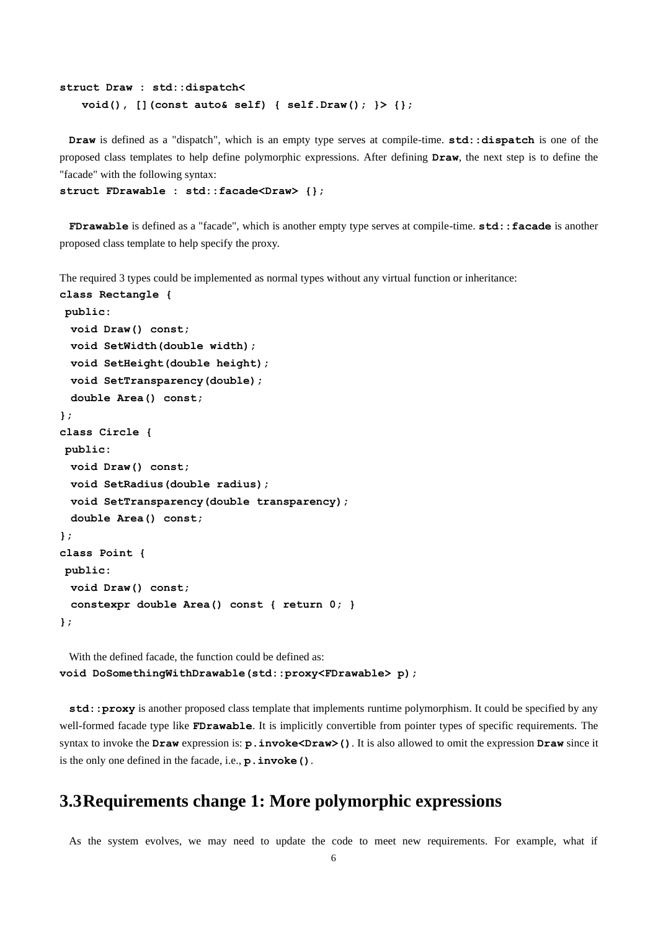```
struct Draw : std::dispatch<
    void(), [](const auto& self) { self.Draw(); }> {};
```
**Draw** is defined as a "dispatch", which is an empty type serves at compile-time. **std::dispatch** is one of the proposed class templates to help define polymorphic expressions. After defining **Draw**, the next step is to define the "facade" with the following syntax:

**struct FDrawable : std::facade<Draw> {};**

**FDrawable** is defined as a "facade", which is another empty type serves at compile-time. **std::facade** is another proposed class template to help specify the proxy.

The required 3 types could be implemented as normal types without any virtual function or inheritance:

```
class Rectangle {
public:
  void Draw() const;
  void SetWidth(double width);
  void SetHeight(double height);
  void SetTransparency(double);
  double Area() const;
};
class Circle {
public:
  void Draw() const;
  void SetRadius(double radius);
  void SetTransparency(double transparency);
  double Area() const;
};
class Point {
public:
  void Draw() const;
  constexpr double Area() const { return 0; }
};
```
With the defined facade, the function could be defined as: **void DoSomethingWithDrawable(std::proxy<FDrawable> p);**

**std::proxy** is another proposed class template that implements runtime polymorphism. It could be specified by any well-formed facade type like **FDrawable**. It is implicitly convertible from pointer types of specific requirements. The syntax to invoke the **Draw** expression is: **p.invoke<Draw>()**. It is also allowed to omit the expression **Draw** since it is the only one defined in the facade, i.e., **p.invoke()**.

### <span id="page-5-0"></span>**3.3Requirements change 1: More polymorphic expressions**

As the system evolves, we may need to update the code to meet new requirements. For example, what if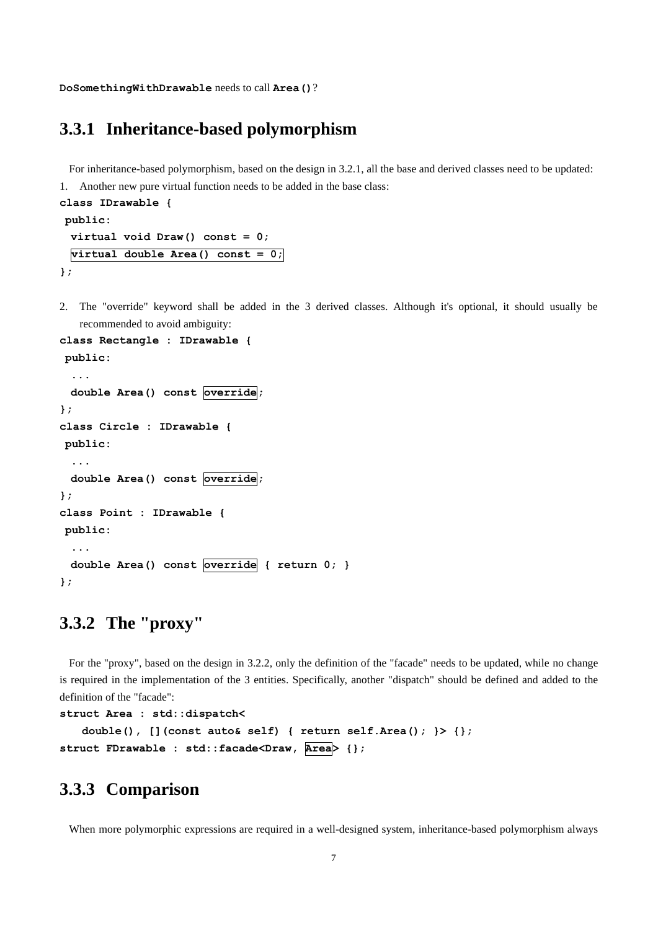<span id="page-6-0"></span>**DoSomethingWithDrawable** needs to call **Area()**?

## **3.3.1 Inheritance-based polymorphism**

For inheritance-based polymorphism, based on the design i[n 3.2.1,](#page-4-0) all the base and derived classes need to be updated:

1. Another new pure virtual function needs to be added in the base class:

```
class IDrawable {
public:
  virtual void Draw() const = 0;
  virtual double Area() const = 0;
};
```
2. The "override" keyword shall be added in the 3 derived classes. Although it's optional, it should usually be recommended to avoid ambiguity:

```
class Rectangle : IDrawable {
public:
   ...
  double Area() const override;
};
class Circle : IDrawable {
public:
  ...
  double Area() const override;
};
class Point : IDrawable {
public:
   ...
 double Area() const override { return 0; }
};
```
# <span id="page-6-1"></span>**3.3.2 The "proxy"**

For the "proxy", based on the design in [3.2.2,](#page-4-1) only the definition of the "facade" needs to be updated, while no change is required in the implementation of the 3 entities. Specifically, another "dispatch" should be defined and added to the definition of the "facade":

```
struct Area : std::dispatch<
    double(), [](const auto& self) { return self.Area(); }> {};
struct FDrawable : std::facade<Draw, Area> {};
```
# <span id="page-6-2"></span>**3.3.3 Comparison**

When more polymorphic expressions are required in a well-designed system, inheritance-based polymorphism always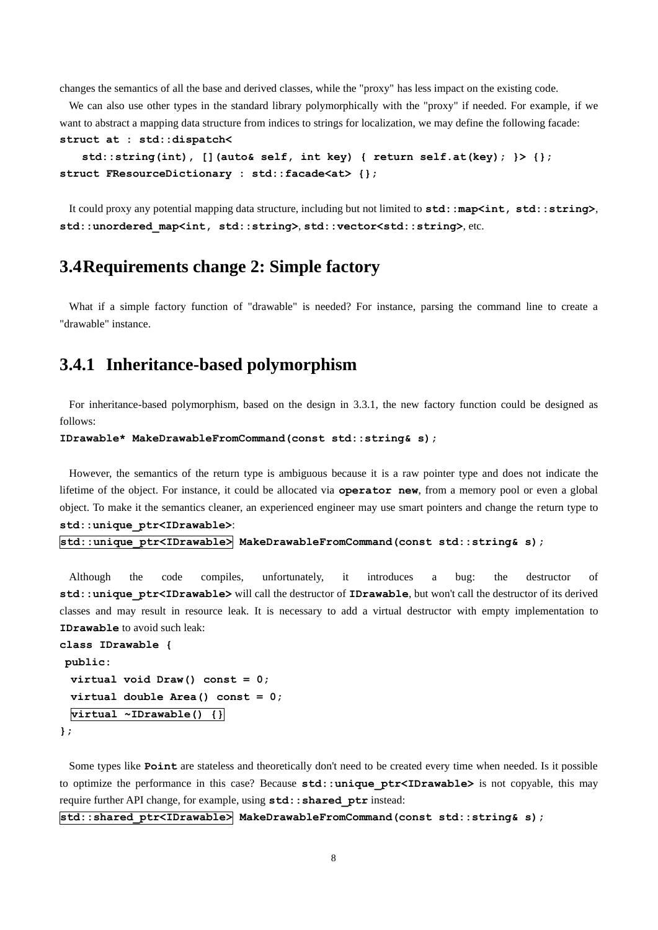changes the semantics of all the base and derived classes, while the "proxy" has less impact on the existing code.

We can also use other types in the standard library polymorphically with the "proxy" if needed. For example, if we want to abstract a mapping data structure from indices to strings for localization, we may define the following facade: **struct at : std::dispatch<**

```
 std::string(int), [](auto& self, int key) { return self.at(key); }> {};
struct FResourceDictionary : std::facade<at> {};
```
It could proxy any potential mapping data structure, including but not limited to  $std:map*int*, std::string>$ , **std::unordered\_map<int, std::string>**, **std::vector<std::string>**, etc.

### <span id="page-7-0"></span>**3.4Requirements change 2: Simple factory**

What if a simple factory function of "drawable" is needed? For instance, parsing the command line to create a "drawable" instance.

# <span id="page-7-1"></span>**3.4.1 Inheritance-based polymorphism**

For inheritance-based polymorphism, based on the design in [3.3.1,](#page-6-0) the new factory function could be designed as follows:

```
IDrawable* MakeDrawableFromCommand(const std::string& s);
```
However, the semantics of the return type is ambiguous because it is a raw pointer type and does not indicate the lifetime of the object. For instance, it could be allocated via **operator new**, from a memory pool or even a global object. To make it the semantics cleaner, an experienced engineer may use smart pointers and change the return type to **std::unique\_ptr<IDrawable>**:

```
std::unique_ptr<IDrawable> MakeDrawableFromCommand(const std::string& s);
```
Although the code compiles, unfortunately, it introduces a bug: the destructor of **std::unique\_ptr<IDrawable>** will call the destructor of **IDrawable**, but won't call the destructor of its derived classes and may result in resource leak. It is necessary to add a virtual destructor with empty implementation to **IDrawable** to avoid such leak:

```
class IDrawable {
public:
  virtual void Draw() const = 0;
  virtual double Area() const = 0;
  virtual ~IDrawable() {}
};
```
Some types like **Point** are stateless and theoretically don't need to be created every time when needed. Is it possible to optimize the performance in this case? Because **std::unique ptr<IDrawable>** is not copyable, this may require further API change, for example, using  $std: :shared\_ptr$  instead:

#### **std::shared\_ptr<IDrawable> MakeDrawableFromCommand(const std::string& s);**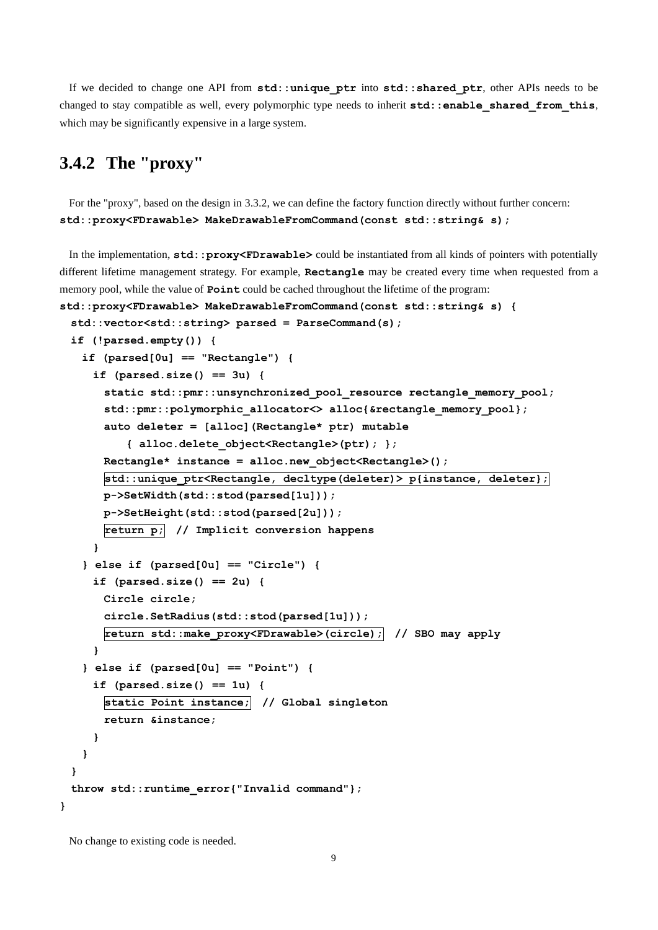If we decided to change one API from **std::unique\_ptr** into **std::shared\_ptr**, other APIs needs to be changed to stay compatible as well, every polymorphic type needs to inherit  $std: :enable\_shared\_from\_this$ , which may be significantly expensive in a large system.

# <span id="page-8-0"></span>**3.4.2 The "proxy"**

For the "proxy", based on the design in [3.3.2,](#page-6-1) we can define the factory function directly without further concern: **std::proxy<FDrawable> MakeDrawableFromCommand(const std::string& s);**

In the implementation,  $std::proxy$ <FDrawable> could be instantiated from all kinds of pointers with potentially different lifetime management strategy. For example, **Rectangle** may be created every time when requested from a memory pool, while the value of **Point** could be cached throughout the lifetime of the program:

```
std::proxy<FDrawable> MakeDrawableFromCommand(const std::string& s) {
  std::vector<std::string> parsed = ParseCommand(s);
  if (!parsed.empty()) {
    if (parsed[0u] == "Rectangle") {
      if (parsed.size() == 3u) {
       static std::pmr::unsynchronized_pool_resource rectangle_memory_pool;
       std::pmr::polymorphic_allocator<> alloc{&rectangle_memory_pool};
       auto deleter = [alloc](Rectangle* ptr) mutable
           { alloc.delete_object<Rectangle>(ptr); };
       Rectangle* instance = alloc.new_object<Rectangle>();
       std::unique_ptr<Rectangle, decltype(deleter)> p{instance, deleter};
       p->SetWidth(std::stod(parsed[1u]));
       p->SetHeight(std::stod(parsed[2u]));
       return p; // Implicit conversion happens
      }
    } else if (parsed[0u] == "Circle") {
      if (parsed.size() == 2u) {
       Circle circle;
       circle.SetRadius(std::stod(parsed[1u]));
       return std::make_proxy<FDrawable>(circle); // SBO may apply
      }
    } else if (parsed[0u] == "Point") {
      if (parsed.size() == 1u) {
       static Point instance; // Global singleton
       return &instance;
      }
    }
  }
  throw std::runtime_error{"Invalid command"};
}
```
No change to existing code is needed.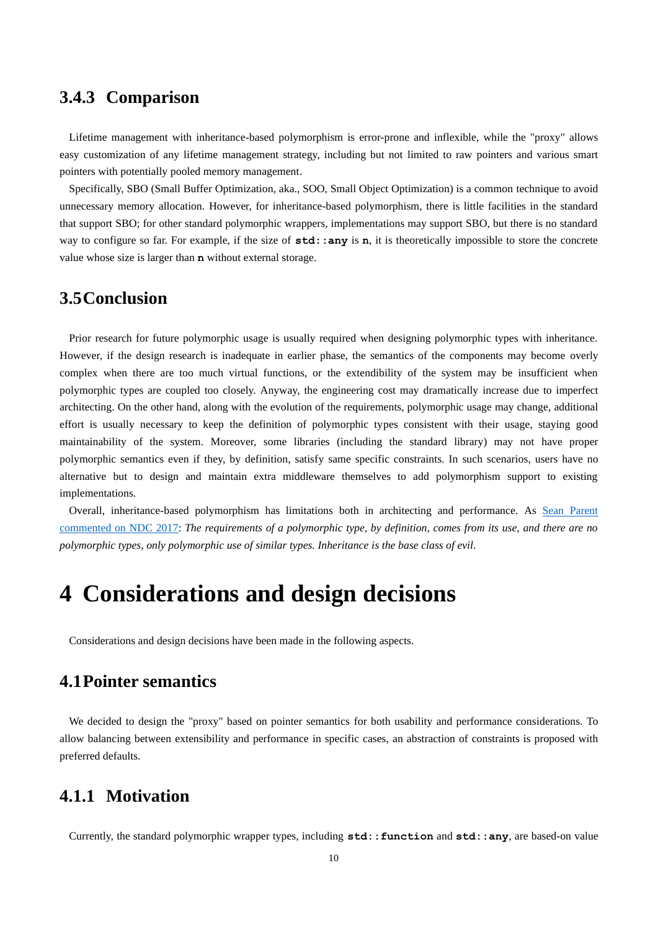## <span id="page-9-0"></span>**3.4.3 Comparison**

Lifetime management with inheritance-based polymorphism is error-prone and inflexible, while the "proxy" allows easy customization of any lifetime management strategy, including but not limited to raw pointers and various smart pointers with potentially pooled memory management.

Specifically, SBO (Small Buffer Optimization, aka., SOO, Small Object Optimization) is a common technique to avoid unnecessary memory allocation. However, for inheritance-based polymorphism, there is little facilities in the standard that support SBO; for other standard polymorphic wrappers, implementations may support SBO, but there is no standard way to configure so far. For example, if the size of std: : any is n, it is theoretically impossible to store the concrete value whose size is larger than **n** without external storage.

### <span id="page-9-1"></span>**3.5Conclusion**

Prior research for future polymorphic usage is usually required when designing polymorphic types with inheritance. However, if the design research is inadequate in earlier phase, the semantics of the components may become overly complex when there are too much virtual functions, or the extendibility of the system may be insufficient when polymorphic types are coupled too closely. Anyway, the engineering cost may dramatically increase due to imperfect architecting. On the other hand, along with the evolution of the requirements, polymorphic usage may change, additional effort is usually necessary to keep the definition of polymorphic types consistent with their usage, staying good maintainability of the system. Moreover, some libraries (including the standard library) may not have proper polymorphic semantics even if they, by definition, satisfy same specific constraints. In such scenarios, users have no alternative but to design and maintain extra middleware themselves to add polymorphism support to existing implementations.

Overall, inheritance-based polymorphism has limitations both in architecting and performance. As [Sean Parent](https://www.youtube.com/watch?v=QGcVXgEVMJg)  commented [on NDC 2017:](https://www.youtube.com/watch?v=QGcVXgEVMJg) *The requirements of a polymorphic type, by definition, comes from its use, and there are no polymorphic types, only polymorphic use of similar types. Inheritance is the base class of evil*.

# <span id="page-9-2"></span>**4 Considerations and design decisions**

<span id="page-9-3"></span>Considerations and design decisions have been made in the following aspects.

### **4.1Pointer semantics**

We decided to design the "proxy" based on pointer semantics for both usability and performance considerations. To allow balancing between extensibility and performance in specific cases, an abstraction of constraints is proposed with preferred defaults.

# <span id="page-9-4"></span>**4.1.1 Motivation**

Currently, the standard polymorphic wrapper types, including **std::function** and **std::any**, are based-on value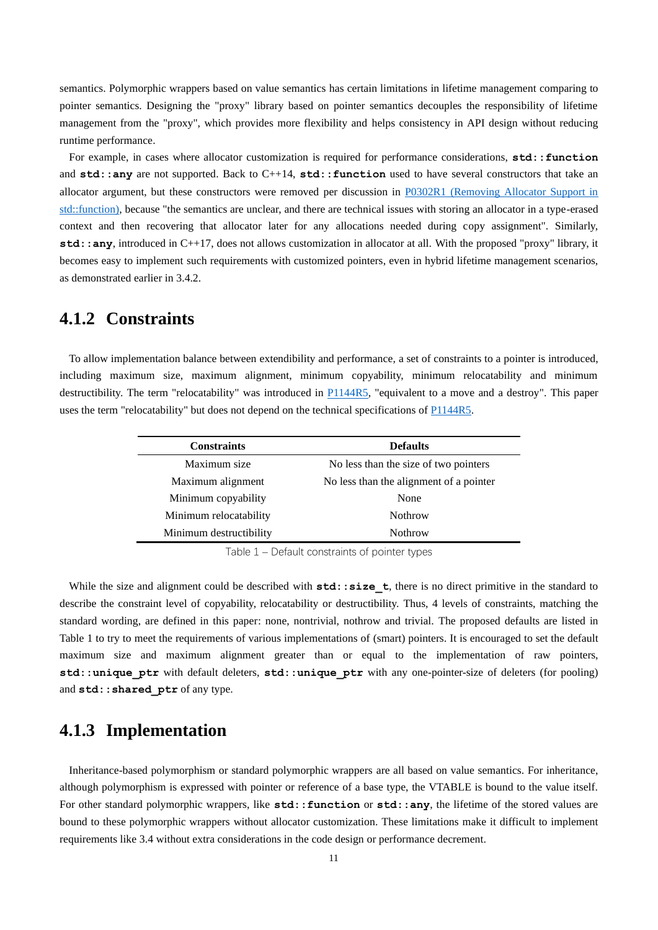semantics. Polymorphic wrappers based on value semantics has certain limitations in lifetime management comparing to pointer semantics. Designing the "proxy" library based on pointer semantics decouples the responsibility of lifetime management from the "proxy", which provides more flexibility and helps consistency in API design without reducing runtime performance.

For example, in cases where allocator customization is required for performance considerations, **std::function** and **std::any** are not supported. Back to C++14, **std::function** used to have several constructors that take an allocator argument, but these constructors were removed per discussion in [P0302R1 \(Removing Allocator Support in](http://www.open-std.org/jtc1/sc22/wg21/docs/papers/2016/p0302r1.html)  [std::function\),](http://www.open-std.org/jtc1/sc22/wg21/docs/papers/2016/p0302r1.html) because "the semantics are unclear, and there are technical issues with storing an allocator in a type-erased context and then recovering that allocator later for any allocations needed during copy assignment". Similarly, **std::any**, introduced in C++17, does not allows customization in allocator at all. With the proposed "proxy" library, it becomes easy to implement such requirements with customized pointers, even in hybrid lifetime management scenarios, as demonstrated earlier i[n 3.4.2.](#page-8-0)

### <span id="page-10-0"></span>**4.1.2 Constraints**

To allow implementation balance between extendibility and performance, a set of constraints to a pointer is introduced, including maximum size, maximum alignment, minimum copyability, minimum relocatability and minimum destructibility. The term "relocatability" was introduced in  $P1144R5$ , "equivalent to a move and a destroy". This paper uses the term "relocatability" but does not depend on the technical specifications o[f P1144R5.](http://www.open-std.org/jtc1/sc22/wg21/docs/papers/2020/p1144r5)

| <b>Constraints</b>      | <b>Defaults</b>                         |
|-------------------------|-----------------------------------------|
| Maximum size            | No less than the size of two pointers   |
| Maximum alignment       | No less than the alignment of a pointer |
| Minimum copyability     | None                                    |
| Minimum relocatability  | <b>Nothrow</b>                          |
| Minimum destructibility | <b>Nothrow</b>                          |
|                         |                                         |

Table 1 – Default constraints of pointer types

<span id="page-10-2"></span>While the size and alignment could be described with **std:**: size t, there is no direct primitive in the standard to describe the constraint level of copyability, relocatability or destructibility. Thus, 4 levels of constraints, matching the standard wording, are defined in this paper: none, nontrivial, nothrow and trivial. The proposed defaults are listed in [Table 1](#page-10-2) to try to meet the requirements of various implementations of (smart) pointers. It is encouraged to set the default maximum size and maximum alignment greater than or equal to the implementation of raw pointers, **std::unique\_ptr** with default deleters, **std::unique\_ptr** with any one-pointer-size of deleters (for pooling) and **std::shared\_ptr** of any type.

### <span id="page-10-1"></span>**4.1.3 Implementation**

Inheritance-based polymorphism or standard polymorphic wrappers are all based on value semantics. For inheritance, although polymorphism is expressed with pointer or reference of a base type, the VTABLE is bound to the value itself. For other standard polymorphic wrappers, like  $std:$ : function or  $std:$ : any, the lifetime of the stored values are bound to these polymorphic wrappers without allocator customization. These limitations make it difficult to implement requirements like [3.4](#page-7-0) without extra considerations in the code design or performance decrement.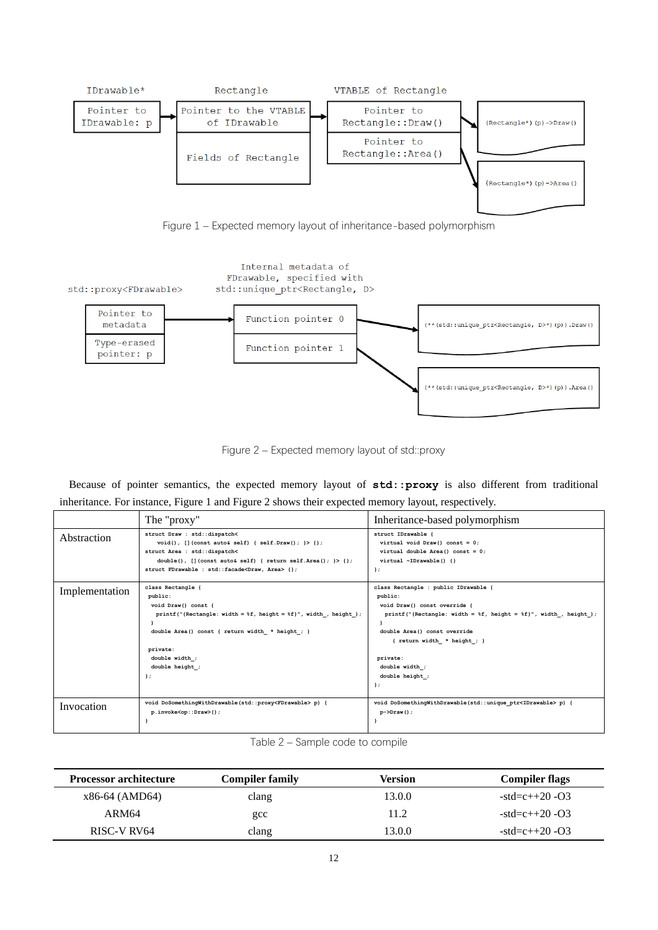

Figure 1 – Expected memory layout of inheritance-based polymorphism

<span id="page-11-0"></span>

Figure 2 – Expected memory layout of std::proxy

<span id="page-11-1"></span>Because of pointer semantics, the expected memory layout of **std::proxy** is also different from traditional inheritance. For instance[, Figure 1](#page-11-0) an[d Figure 2](#page-11-1) shows their expected memory layout, respectively.

|                | The "proxy"                                                                                                                                                                                                                                               | Inheritance-based polymorphism                                                                                                                                                                                                                                                        |
|----------------|-----------------------------------------------------------------------------------------------------------------------------------------------------------------------------------------------------------------------------------------------------------|---------------------------------------------------------------------------------------------------------------------------------------------------------------------------------------------------------------------------------------------------------------------------------------|
| Abstraction    | struct Draw : std::dispatch<<br>$void()$ , [](const auto& self) { self. Draw(); } > {};<br>struct Area : std::dispatch<<br>double(), $[$ (const auto& self) { return self. Area(); } > { };<br>struct FDrawable : std::facade <draw, area=""> {};</draw,> | struct IDrawable {<br>virtual void Draw() const = $0$ ;<br>virtual double Area() const = $0$ ;<br>virtual ~IDrawable() {}<br>$\cdot$                                                                                                                                                  |
| Implementation | class Rectangle<br>public:<br>void Draw() const {<br>printf("{Rectangle: width = $f$ f}, height = $f$ f}", width, height);<br>double Area () const { return width * height ; }<br>private:<br>double width ;<br>double height ;<br>$\rightarrow$          | class Rectangle : public IDrawable {<br>public:<br>void Draw() const override {<br>printf("{Rectangle: width = $f$ f}, height = $f$ f}", width, height);<br>double Area() const override<br>{ return width $*$ height ; }<br>private:<br>double width ;<br>double height ;<br>$\cdot$ |
| Invocation     | void DoSomethingWithDrawable(std::proxy <fdrawable>p) {<br/>p.invoke<op::draw>();</op::draw></fdrawable>                                                                                                                                                  | void DoSomethingWithDrawable(std::unique ptr <idrawable> p) {<br/><math>p</math>-&gt;Draw();</idrawable>                                                                                                                                                                              |

|  |  | Table 2 – Sample code to compile |
|--|--|----------------------------------|
|  |  |                                  |

<span id="page-11-2"></span>

| <b>Processor architecture</b> | <b>Compiler family</b> | Version | <b>Compiler flags</b> |
|-------------------------------|------------------------|---------|-----------------------|
| x86-64 (AMD64)                | clang                  | 13.0.0  | $-std=c++20-O3$       |
| ARM64                         | $_{\rm gcc}$           | 11.2    | $-std=c++20-03$       |
| RISC-V RV64                   | clang                  | 13.0.0  | $-std=c++20-03$       |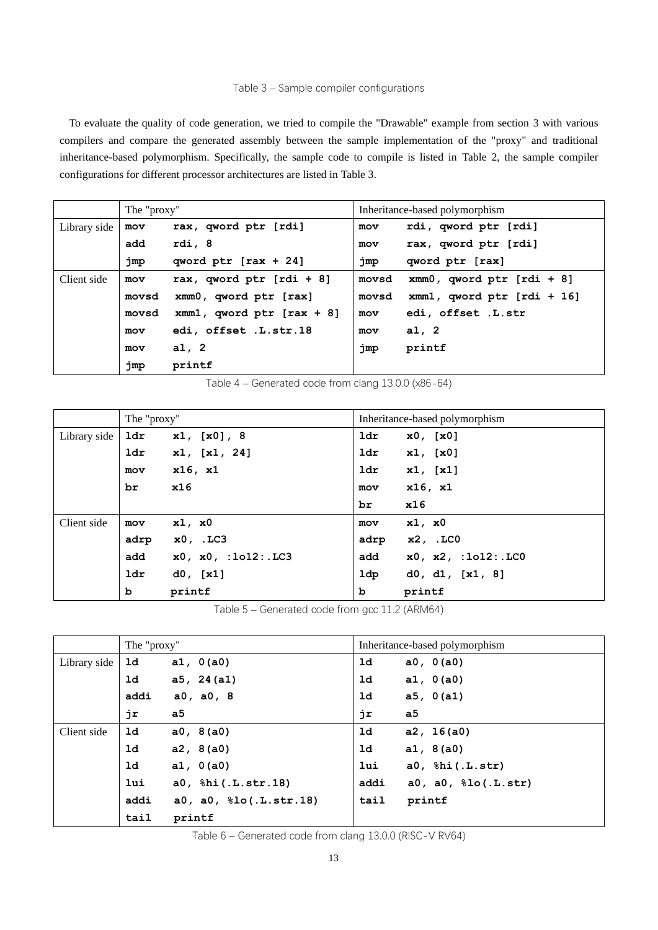#### Table 3 – Sample compiler configurations

<span id="page-12-0"></span>To evaluate the quality of code generation, we tried to compile the "Drawable" example from section [3](#page-3-0) with various compilers and compare the generated assembly between the sample implementation of the "proxy" and traditional inheritance-based polymorphism. Specifically, the sample code to compile is listed in [Table 2,](#page-11-2) the sample compiler configurations for different processor architectures are listed in [Table 3.](#page-12-0)

|              | The "proxy" |                                | Inheritance-based polymorphism |                              |
|--------------|-------------|--------------------------------|--------------------------------|------------------------------|
| Library side | mov         | rax, qword ptr [rdi]           | mov                            | rdi, qword ptr [rdi]         |
|              | add         | rdi, 8                         | mov                            | rax, qword ptr [rdi]         |
|              | jmp         | qword ptr $[raw + 24]$         | jmp                            | qword ptr [rax]              |
| Client side  | mov         | rax, qword ptr $[rdi + 8]$     | movsd                          | $xmm0$ , qword ptr [rdi + 8] |
|              | movsd       | xmm0, qword ptr [rax]          | movsd                          | xmm1, qword ptr [rdi + 16]   |
|              | movsd       | $xmm1$ , qword ptr $[raw + 8]$ | mov                            | edi, offset .L.str           |
|              | mov         | edi, offset .L.str.18          | mov                            | al, $2$                      |
|              | mov         | a1, 2                          | jmp                            | printf                       |
|              | jmp         | printf                         |                                |                              |

Table 4 – Generated code from clang 13.0.0 (x86-64)

<span id="page-12-1"></span>

|              | The "proxy" |                     |      | Inheritance-based polymorphism |
|--------------|-------------|---------------------|------|--------------------------------|
| Library side | ldr         | x1, [x0], 8         | ldr  | x0, [x0]                       |
|              | 1dr         | x1, [x1, 24]        | 1dr  | x1, [x0]                       |
|              | mov         | $x16$ , $x1$        | ldr  | x1, [x1]                       |
|              | br          | x16                 | mov  | x16, x1                        |
|              |             |                     | br   | x16                            |
| Client side  | mov         | x1, x0              | mov  | x1, x0                         |
|              | adrp        | $x0, \ldots$ LC3    | adrp | x2, .LC0                       |
|              | add         | x0, x0, :1012: .LC3 | add  | x0, x2, :1012:.LC0             |
|              | <b>ldr</b>  | $d0$ , [x1]         | ldp  | d0, d1, [x1, 8]                |
|              | b           | printf              | b    | printf                         |

Table 5 – Generated code from gcc 11.2 (ARM64)

<span id="page-12-2"></span>

|              | The "proxy"    |                           |                | Inheritance-based polymorphism |
|--------------|----------------|---------------------------|----------------|--------------------------------|
| Library side | ld             | a1, 0(a0)                 | 1d             | a0, 0(a0)                      |
|              | 1d             | a5, 24(a1)                | 1 <sub>d</sub> | a1, 0(a0)                      |
|              | addi           | a0, a0, 8                 | 1 <sub>d</sub> | a5, 0(a1)                      |
|              | jr             | a5                        | jr             | a5                             |
| Client side  | 1 <sub>d</sub> | a0, 8(a0)                 | 1 <sub>d</sub> | a2, 16(a0)                     |
|              | 1 <sub>d</sub> | a2, 8(a0)                 | ld             | a1, 8(a0)                      |
|              | 1 <sub>d</sub> | a1, 0(a0)                 | lui            | $a0,$ $bii(.L.str)$            |
|              | lui            | a0, %hi(.L.str.18)        | addi           | $a0, a0, \text{10}(.L.str)$    |
|              | addi           | a0, a0, $\$10(.L.str.18)$ | tail           | printf                         |
|              | tail           | printf                    |                |                                |

<span id="page-12-3"></span>Table 6 – Generated code from clang 13.0.0 (RISC-V RV64)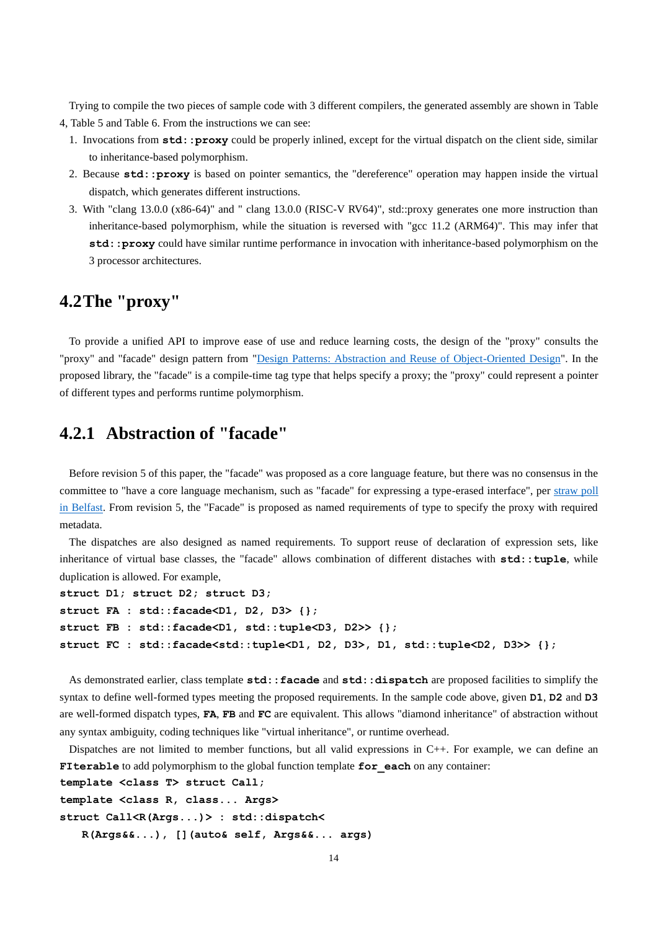Trying to compile the two pieces of sample code with 3 different compilers, the generated assembly are shown in [Table](#page-12-1)  [4,](#page-12-1) [Table 5](#page-12-2) an[d Table 6.](#page-12-3) From the instructions we can see:

- 1. Invocations from **std::proxy** could be properly inlined, except for the virtual dispatch on the client side, similar to inheritance-based polymorphism.
- 2. Because **std::proxy** is based on pointer semantics, the "dereference" operation may happen inside the virtual dispatch, which generates different instructions.
- 3. With "clang 13.0.0 (x86-64)" and " clang 13.0.0 (RISC-V RV64)", std::proxy generates one more instruction than inheritance-based polymorphism, while the situation is reversed with "gcc 11.2 (ARM64)". This may infer that **std::proxy** could have similar runtime performance in invocation with inheritance-based polymorphism on the 3 processor architectures.

### <span id="page-13-0"></span>**4.2The "proxy"**

To provide a unified API to improve ease of use and reduce learning costs, the design of the "proxy" consults the "proxy" and "facade" design pattern from ["Design Patterns: Abstraction and Reuse of Object-Oriented Design"](https://link.springer.com/chapter/10.1007/3-540-47910-4_21). In the proposed library, the "facade" is a compile-time tag type that helps specify a proxy; the "proxy" could represent a pointer of different types and performs runtime polymorphism.

# <span id="page-13-1"></span>**4.2.1 Abstraction of "facade"**

Before revision 5 of this paper, the "facade" was proposed as a core language feature, but there was no consensus in the committee to "have a core language mechanism, such as "facade" for expressing a type-erased interface", per straw poll [in Belfast.](https://wiki.edg.com/bin/view/Wg21belfast/P0957) From revision 5, the "Facade" is proposed as named requirements of type to specify the proxy with required metadata.

The dispatches are also designed as named requirements. To support reuse of declaration of expression sets, like inheritance of virtual base classes, the "facade" allows combination of different distaches with **std::tuple**, while duplication is allowed. For example,

```
struct D1; struct D2; struct D3;
struct FA : std::facade<D1, D2, D3> {};
struct FB : std::facade<D1, std::tuple<D3, D2>> {};
struct FC : std::facade<std::tuple<D1, D2, D3>, D1, std::tuple<D2, D3>> {};
```
As demonstrated earlier, class template **std::facade** and **std::dispatch** are proposed facilities to simplify the syntax to define well-formed types meeting the proposed requirements. In the sample code above, given **D1**, **D2** and **D3** are well-formed dispatch types, **FA**, **FB** and **FC** are equivalent. This allows "diamond inheritance" of abstraction without any syntax ambiguity, coding techniques like "virtual inheritance", or runtime overhead.

Dispatches are not limited to member functions, but all valid expressions in C++. For example, we can define an **FIterable** to add polymorphism to the global function template **for** each on any container:

```
template <class T> struct Call;
template <class R, class... Args>
struct Call<R(Args...)> : std::dispatch<
    R(Args&&...), [](auto& self, Args&&... args)
```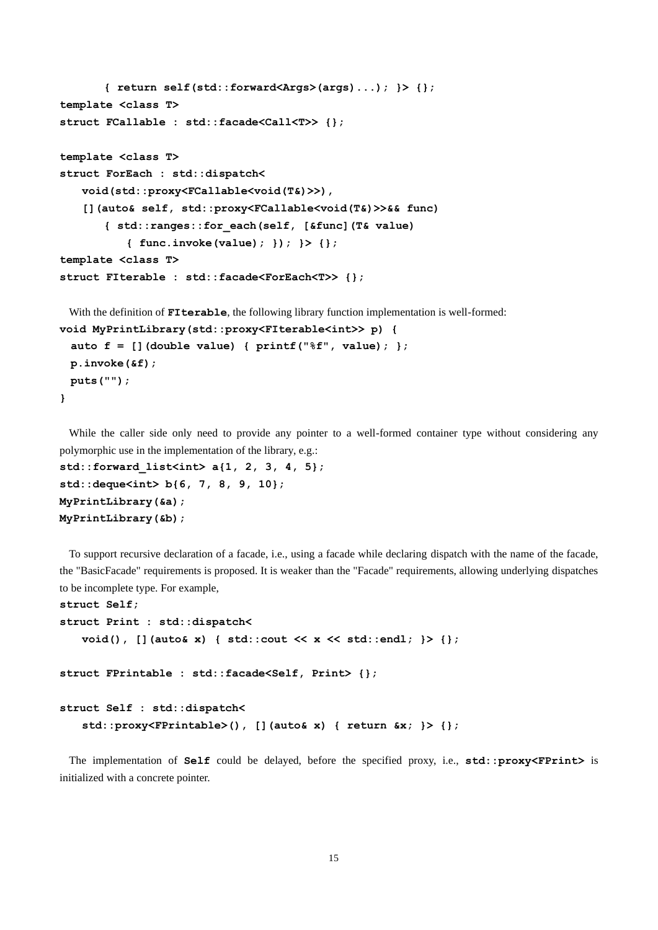```
 { return self(std::forward<Args>(args)...); }> {};
template <class T>
struct FCallable : std::facade<Call<T>> {};
template <class T>
struct ForEach : std::dispatch<
    void(std::proxy<FCallable<void(T&)>>),
    [](auto& self, std::proxy<FCallable<void(T&)>>&& func)
        { std::ranges::for_each(self, [&func](T& value)
            { func.invoke(value); }); }> {};
template <class T>
struct FIterable : std::facade<ForEach<T>> {};
 With the definition of FIterable, the following library function implementation is well-formed:
void MyPrintLibrary(std::proxy<FIterable<int>> p) {
  auto f = [](double value) { printf("%f", value); };
  p.invoke(&f);
  puts("");
```
While the caller side only need to provide any pointer to a well-formed container type without considering any polymorphic use in the implementation of the library, e.g.:

```
std::forward_list<int> a{1, 2, 3, 4, 5};
std::deque<int> b{6, 7, 8, 9, 10};
MyPrintLibrary(&a);
MyPrintLibrary(&b);
```
**}**

To support recursive declaration of a facade, i.e., using a facade while declaring dispatch with the name of the facade, the "BasicFacade" requirements is proposed. It is weaker than the "Facade" requirements, allowing underlying dispatches to be incomplete type. For example,

```
struct Self;
struct Print : std::dispatch<
    void(), [](auto& x) { std::cout << x << std::endl; }> {};
struct FPrintable : std::facade<Self, Print> {};
struct Self : std::dispatch<
    std::proxy<FPrintable>(), [](auto& x) { return &x; }> {};
```
The implementation of **Self** could be delayed, before the specified proxy, i.e., **std::proxy<FPrint>** is initialized with a concrete pointer.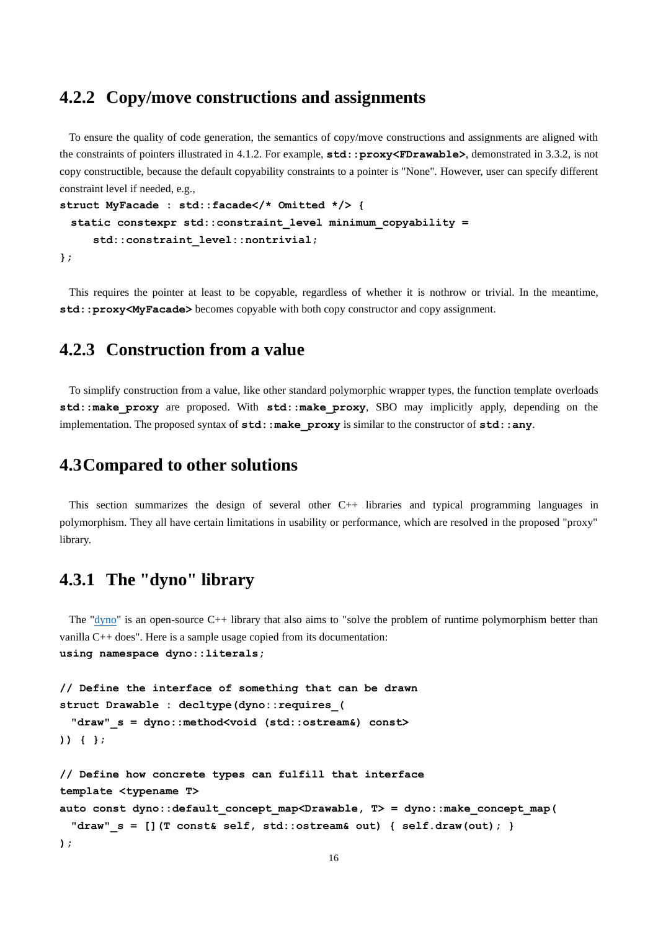### <span id="page-15-0"></span>**4.2.2 Copy/move constructions and assignments**

To ensure the quality of code generation, the semantics of copy/move constructions and assignments are aligned with the constraints of pointers illustrated in [4.1.2.](#page-10-0) For example, **std::proxy<FDrawable>**, demonstrated in [3.3.2,](#page-6-1) is not copy constructible, because the default copyability constraints to a pointer is "None". However, user can specify different constraint level if needed, e.g.,

```
struct MyFacade : std::facade</* Omitted */> {
  static constexpr std::constraint_level minimum_copyability =
      std::constraint_level::nontrivial;
};
```
This requires the pointer at least to be copyable, regardless of whether it is nothrow or trivial. In the meantime, **std::proxy<MyFacade>** becomes copyable with both copy constructor and copy assignment.

### <span id="page-15-1"></span>**4.2.3 Construction from a value**

To simplify construction from a value, like other standard polymorphic wrapper types, the function template overloads **std::make\_proxy** are proposed. With **std::make\_proxy**, SBO may implicitly apply, depending on the implementation. The proposed syntax of  $std: make\_proxy$  is similar to the constructor of  $std:any$ .

### <span id="page-15-2"></span>**4.3Compared to other solutions**

This section summarizes the design of several other C++ libraries and typical programming languages in polymorphism. They all have certain limitations in usability or performance, which are resolved in the proposed "proxy" library.

# <span id="page-15-3"></span>**4.3.1 The "dyno" library**

The " $\frac{d\text{yno}}{dt}$ " is an open-source C++ library that also aims to "solve the problem of runtime polymorphism better than vanilla C++ does". Here is a sample usage copied from its documentation: **using namespace dyno::literals;**

```
// Define the interface of something that can be drawn
struct Drawable : decltype(dyno::requires_(
  "draw"_s = dyno::method<void (std::ostream&) const>
)) { };
// Define how concrete types can fulfill that interface
template <typename T>
auto const dyno::default_concept_map<Drawable, T> = dyno::make_concept_map(
  "draw"_s = [](T const& self, std::ostream& out) { self.draw(out); }
);
```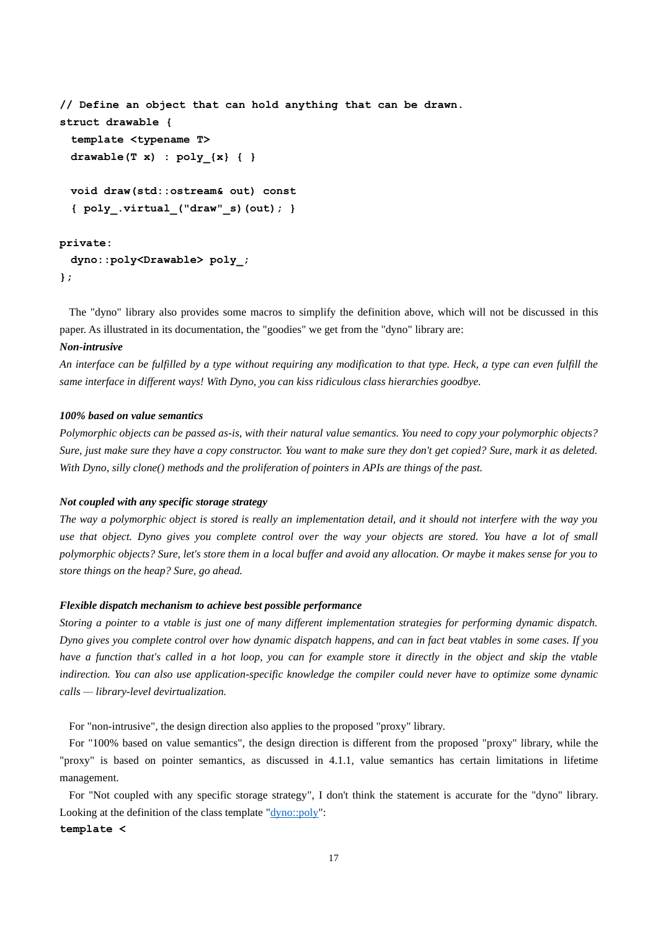```
// Define an object that can hold anything that can be drawn.
struct drawable {
  template <typename T>
  drawable(T x) : poly_{x} { }
  void draw(std::ostream& out) const
  { poly_.virtual_("draw"_s)(out); }
```
#### **private:**

```
 dyno::poly<Drawable> poly_;
};
```
The "dyno" library also provides some macros to simplify the definition above, which will not be discussed in this paper. As illustrated in its documentation, the "goodies" we get from the "dyno" library are:

#### *Non-intrusive*

*An interface can be fulfilled by a type without requiring any modification to that type. Heck, a type can even fulfill the same interface in different ways! With Dyno, you can kiss ridiculous class hierarchies goodbye.*

#### *100% based on value semantics*

*Polymorphic objects can be passed as-is, with their natural value semantics. You need to copy your polymorphic objects? Sure, just make sure they have a copy constructor. You want to make sure they don't get copied? Sure, mark it as deleted. With Dyno, silly clone() methods and the proliferation of pointers in APIs are things of the past.*

#### *Not coupled with any specific storage strategy*

*The way a polymorphic object is stored is really an implementation detail, and it should not interfere with the way you use that object. Dyno gives you complete control over the way your objects are stored. You have a lot of small polymorphic objects? Sure, let's store them in a local buffer and avoid any allocation. Or maybe it makes sense for you to store things on the heap? Sure, go ahead.*

#### *Flexible dispatch mechanism to achieve best possible performance*

*Storing a pointer to a vtable is just one of many different implementation strategies for performing dynamic dispatch. Dyno gives you complete control over how dynamic dispatch happens, and can in fact beat vtables in some cases. If you have a function that's called in a hot loop, you can for example store it directly in the object and skip the vtable indirection. You can also use application-specific knowledge the compiler could never have to optimize some dynamic calls — library-level devirtualization.*

For "non-intrusive", the design direction also applies to the proposed "proxy" library.

For "100% based on value semantics", the design direction is different from the proposed "proxy" library, while the "proxy" is based on pointer semantics, as discussed in [4.1.1,](#page-9-4) value semantics has certain limitations in lifetime management.

For "Not coupled with any specific storage strategy", I don't think the statement is accurate for the "dyno" library. Looking at the definition of the class template ["dyno::poly"](https://github.com/ldionne/dyno/blob/56ced251f5751ef4e3fe66d4f28ccbc75b902d70/include/dyno/poly.hpp#L62-L67):

#### **template <**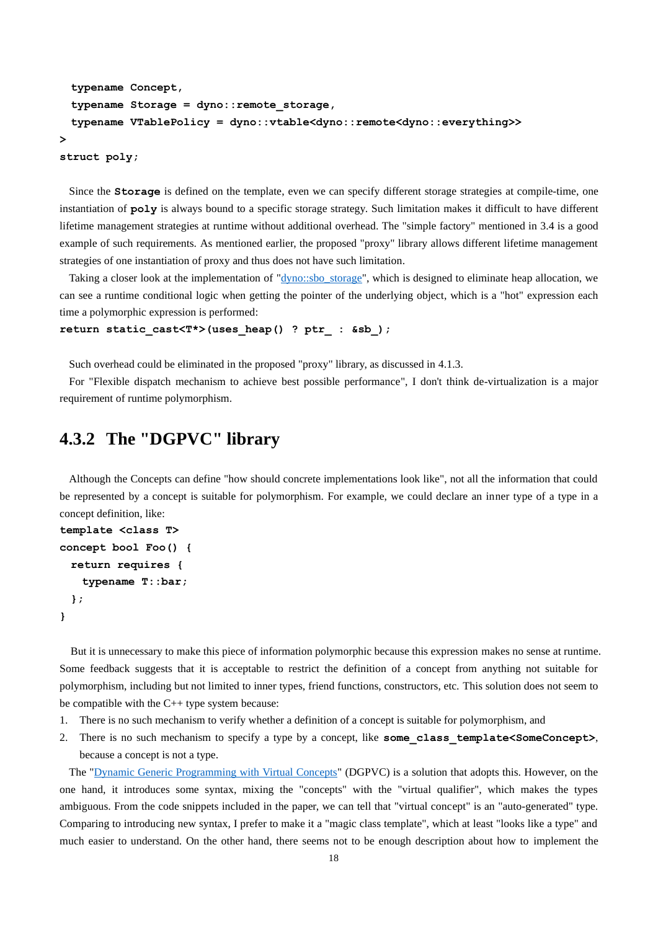```
 typename Concept,
  typename Storage = dyno::remote_storage,
  typename VTablePolicy = dyno::vtable<dyno::remote<dyno::everything>>
>
```
**struct poly;**

Since the **Storage** is defined on the template, even we can specify different storage strategies at compile-time, one instantiation of **poly** is always bound to a specific storage strategy. Such limitation makes it difficult to have different lifetime management strategies at runtime without additional overhead. The "simple factory" mentioned in [3.4](#page-7-0) is a good example of such requirements. As mentioned earlier, the proposed "proxy" library allows different lifetime management strategies of one instantiation of proxy and thus does not have such limitation.

Taking a closer look at the implementation of ["dyno::sbo\\_storage"](https://github.com/ldionne/dyno/blob/56ced251f5751ef4e3fe66d4f28ccbc75b902d70/include/dyno/storage.hpp#L236-L244), which is designed to eliminate heap allocation, we can see a runtime conditional logic when getting the pointer of the underlying object, which is a "hot" expression each time a polymorphic expression is performed:

```
return static_cast<T*>(uses_heap() ? ptr_ : &sb_);
```
Such overhead could be eliminated in the proposed "proxy" library, as discussed in [4.1.3.](#page-10-1)

For "Flexible dispatch mechanism to achieve best possible performance", I don't think de-virtualization is a major requirement of runtime polymorphism.

### <span id="page-17-0"></span>**4.3.2 The "DGPVC" library**

Although the Concepts can define "how should concrete implementations look like", not all the information that could be represented by a concept is suitable for polymorphism. For example, we could declare an inner type of a type in a concept definition, like:

```
template <class T>
concept bool Foo() {
  return requires {
    typename T::bar;
  };
}
```
But it is unnecessary to make this piece of information polymorphic because this expression makes no sense at runtime. Some feedback suggests that it is acceptable to restrict the definition of a concept from anything not suitable for polymorphism, including but not limited to inner types, friend functions, constructors, etc. This solution does not seem to be compatible with the C++ type system because:

- 1. There is no such mechanism to verify whether a definition of a concept is suitable for polymorphism, and
- 2. There is no such mechanism to specify a type by a concept, like some class template<SomeConcept>, because a concept is not a type.

The ["Dynamic Generic Programming with Virtual Concepts"](https://github.com/andyprowl/virtual-concepts/blob/ed3a5690c353b6998abcd3368a9b448f1bb2aa19/draft/Dynamic%20Generic%20Programming%20with%20Virtual%20Concepts.pdf) (DGPVC) is a solution that adopts this. However, on the one hand, it introduces some syntax, mixing the "concepts" with the "virtual qualifier", which makes the types ambiguous. From the code snippets included in the paper, we can tell that "virtual concept" is an "auto-generated" type. Comparing to introducing new syntax, I prefer to make it a "magic class template", which at least "looks like a type" and much easier to understand. On the other hand, there seems not to be enough description about how to implement the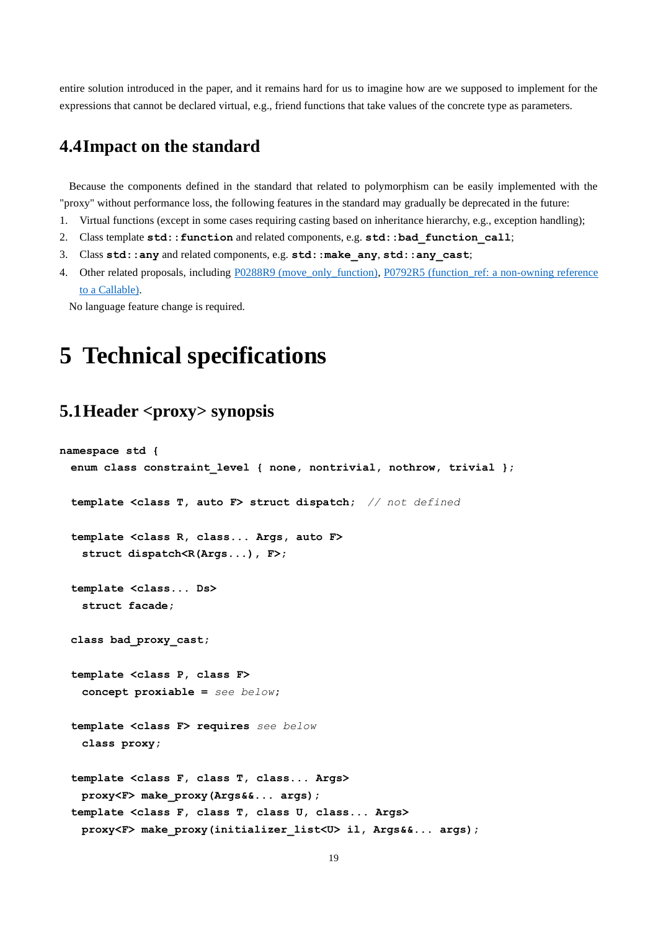entire solution introduced in the paper, and it remains hard for us to imagine how are we supposed to implement for the expressions that cannot be declared virtual, e.g., friend functions that take values of the concrete type as parameters.

### <span id="page-18-0"></span>**4.4Impact on the standard**

Because the components defined in the standard that related to polymorphism can be easily implemented with the "proxy" without performance loss, the following features in the standard may gradually be deprecated in the future:

- 1. Virtual functions (except in some cases requiring casting based on inheritance hierarchy, e.g., exception handling);
- 2. Class template **std::function** and related components, e.g. **std::bad\_function\_call**;
- 3. Class **std::any** and related components, e.g. **std::make\_any**, **std::any\_cast**;
- 4. Other related proposals, including [P0288R9 \(move\\_only\\_function\),](http://www.open-std.org/jtc1/sc22/wg21/docs/papers/2021/p0288r9.html) P0792R5 (function\_ref: a non-owning reference [to a Callable\).](http://www.open-std.org/jtc1/sc22/wg21/docs/papers/2019/p0792r5.html)

<span id="page-18-1"></span>No language feature change is required.

# **5 Technical specifications**

# <span id="page-18-2"></span>**5.1Header <proxy> synopsis**

```
namespace std {
  enum class constraint_level { none, nontrivial, nothrow, trivial };
  template <class T, auto F> struct dispatch; // not defined
  template <class R, class... Args, auto F>
    struct dispatch<R(Args...), F>;
  template <class... Ds>
    struct facade;
  class bad_proxy_cast;
  template <class P, class F>
    concept proxiable = see below;
  template <class F> requires see below
    class proxy;
  template <class F, class T, class... Args>
    proxy<F> make_proxy(Args&&... args);
  template <class F, class T, class U, class... Args>
    proxy<F> make_proxy(initializer_list<U> il, Args&&... args);
```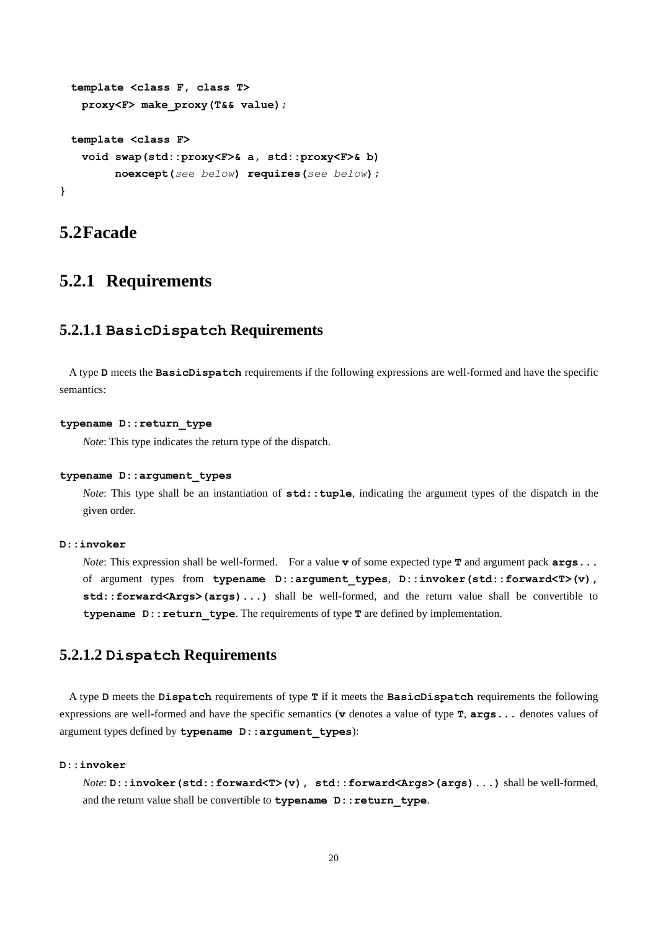```
 template <class F, class T>
    proxy<F> make_proxy(T&& value);
  template <class F>
    void swap(std::proxy<F>& a, std::proxy<F>& b)
         noexcept(see below) requires(see below);
}
```
### <span id="page-19-0"></span>**5.2Facade**

# <span id="page-19-1"></span>**5.2.1 Requirements**

### **5.2.1.1 BasicDispatch Requirements**

A type **D** meets the **BasicDispatch** requirements if the following expressions are well-formed and have the specific semantics:

#### **typename D::return\_type**

*Note*: This type indicates the return type of the dispatch.

#### **typename D::argument\_types**

*Note*: This type shall be an instantiation of **std::**tuple, indicating the argument types of the dispatch in the given order.

#### **D::invoker**

*Note*: This expression shall be well-formed. For a value **v** of some expected type **T** and argument pack  $\arg s \dots$ of argument types from **typename D::argument\_types**, **D::invoker(std::forward<T>(v), std::forward<Args>(args)...)** shall be well-formed, and the return value shall be convertible to **typename D:: return type**. The requirements of type **T** are defined by implementation.

### **5.2.1.2 Dispatch Requirements**

A type **D** meets the **Dispatch** requirements of type **T** if it meets the **BasicDispatch** requirements the following expressions are well-formed and have the specific semantics (**v** denotes a value of type **T**, **args...** denotes values of argument types defined by **typename D::argument\_types**):

#### **D::invoker**

*Note*:  $D$ :: invoker(std::forward<T>(v), std::forward<Args>(args)...) shall be well-formed, and the return value shall be convertible to **typename**  $D:$ : return type.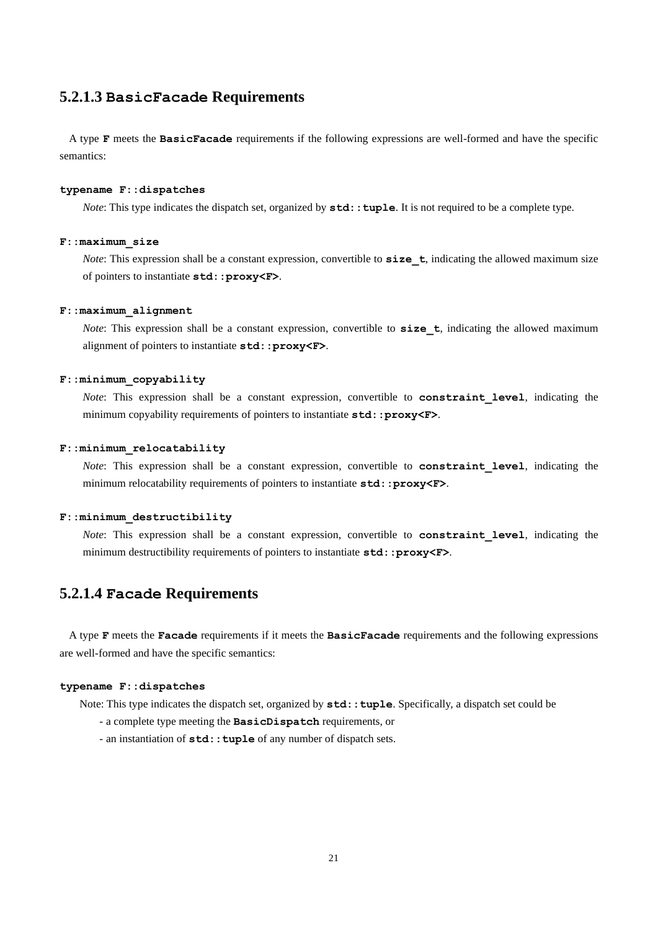### **5.2.1.3 BasicFacade Requirements**

A type **F** meets the **BasicFacade** requirements if the following expressions are well-formed and have the specific semantics:

#### **typename F::dispatches**

*Note*: This type indicates the dispatch set, organized by  $std: \text{tuple.}$  It is not required to be a complete type.

#### **F::maximum\_size**

*Note*: This expression shall be a constant expression, convertible to size t, indicating the allowed maximum size of pointers to instantiate **std::proxy<F>**.

#### **F::maximum\_alignment**

*Note*: This expression shall be a constant expression, convertible to size\_t, indicating the allowed maximum alignment of pointers to instantiate **std::proxy<F>**.

#### **F::minimum\_copyability**

*Note*: This expression shall be a constant expression, convertible to **constraint\_level**, indicating the minimum copyability requirements of pointers to instantiate  $std: :prox\times F$ .

#### **F::minimum\_relocatability**

*Note*: This expression shall be a constant expression, convertible to **constraint level**, indicating the minimum relocatability requirements of pointers to instantiate  $std: :prox\times F$ .

#### **F::minimum\_destructibility**

*Note*: This expression shall be a constant expression, convertible to **constraint level**, indicating the minimum destructibility requirements of pointers to instantiate **std::proxy<F>**.

### **5.2.1.4 Facade Requirements**

A type **F** meets the **Facade** requirements if it meets the **BasicFacade** requirements and the following expressions are well-formed and have the specific semantics:

#### **typename F::dispatches**

Note: This type indicates the dispatch set, organized by **std::tuple**. Specifically, a dispatch set could be

- a complete type meeting the **BasicDispatch** requirements, or
- an instantiation of **std::tuple** of any number of dispatch sets.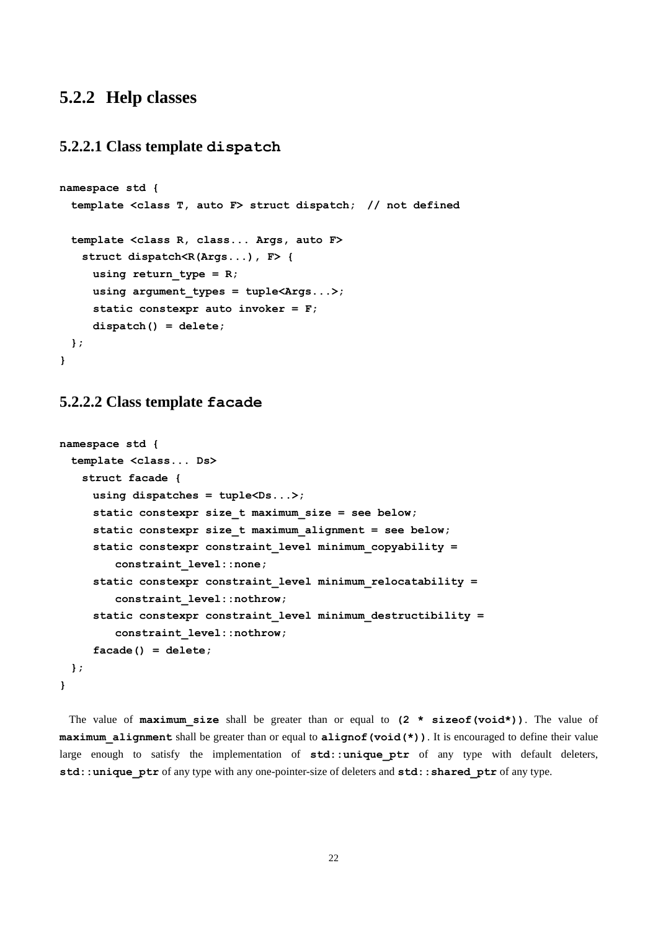### <span id="page-21-0"></span>**5.2.2 Help classes**

### **5.2.2.1 Class template dispatch**

```
namespace std {
  template <class T, auto F> struct dispatch; // not defined
  template <class R, class... Args, auto F>
    struct dispatch<R(Args...), F> {
      using return_type = R;
     using argument types = tuple<Args...>;
      static constexpr auto invoker = F;
      dispatch() = delete;
  };
}
```
### **5.2.2.2 Class template facade**

```
namespace std {
  template <class... Ds>
    struct facade {
      using dispatches = tuple<Ds...>;
      static constexpr size_t maximum_size = see below;
      static constexpr size_t maximum_alignment = see below;
      static constexpr constraint_level minimum_copyability =
         constraint_level::none;
      static constexpr constraint_level minimum_relocatability =
         constraint_level::nothrow;
      static constexpr constraint_level minimum_destructibility =
         constraint_level::nothrow;
      facade() = delete;
  };
}
```
The value of **maximum\_size** shall be greater than or equal to **(2 \* sizeof(void\*))**. The value of **maximum** alignment shall be greater than or equal to alignof(void(\*)). It is encouraged to define their value large enough to satisfy the implementation of std::unique ptr of any type with default deleters, **std::unique\_ptr** of any type with any one-pointer-size of deleters and **std::shared\_ptr** of any type.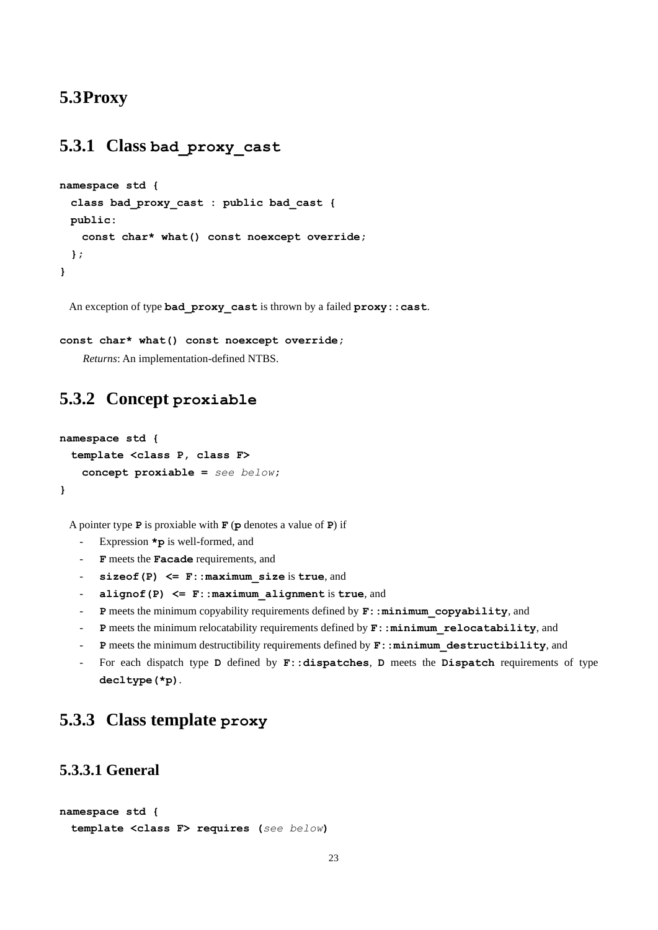## <span id="page-22-0"></span>**5.3Proxy**

# <span id="page-22-1"></span>**5.3.1 Class bad\_proxy\_cast**

```
namespace std {
  class bad_proxy_cast : public bad_cast {
  public:
    const char* what() const noexcept override;
  };
}
```
An exception of type **bad\_proxy\_cast** is thrown by a failed **proxy::cast**.

```
const char* what() const noexcept override;
```
*Returns*: An implementation-defined NTBS.

## <span id="page-22-2"></span>**5.3.2 Concept proxiable**

```
namespace std {
  template <class P, class F>
    concept proxiable = see below;
}
```
A pointer type **P** is proxiable with **F** (**p** denotes a value of **P**) if

- Expression **\*p** is well-formed, and
- **F** meets the **Facade** requirements, and
- **sizeof(P) <= F::maximum\_size** is **true**, and
- **alignof(P) <= F::maximum\_alignment** is **true**, and
- **P** meets the minimum copyability requirements defined by  $\mathbf{F}$ : minimum copyability, and
- P meets the minimum relocatability requirements defined by  $\mathbf{F}$ : : minimum relocatability, and
- P meets the minimum destructibility requirements defined by  $\mathbf{F}$ : : minimum\_destructibility, and
- For each dispatch type **D** defined by **F::dispatches**, **D** meets the **Dispatch** requirements of type **decltype(\*p)**.

# <span id="page-22-3"></span>**5.3.3 Class template proxy**

### **5.3.3.1 General**

```
namespace std {
  template <class F> requires (see below)
```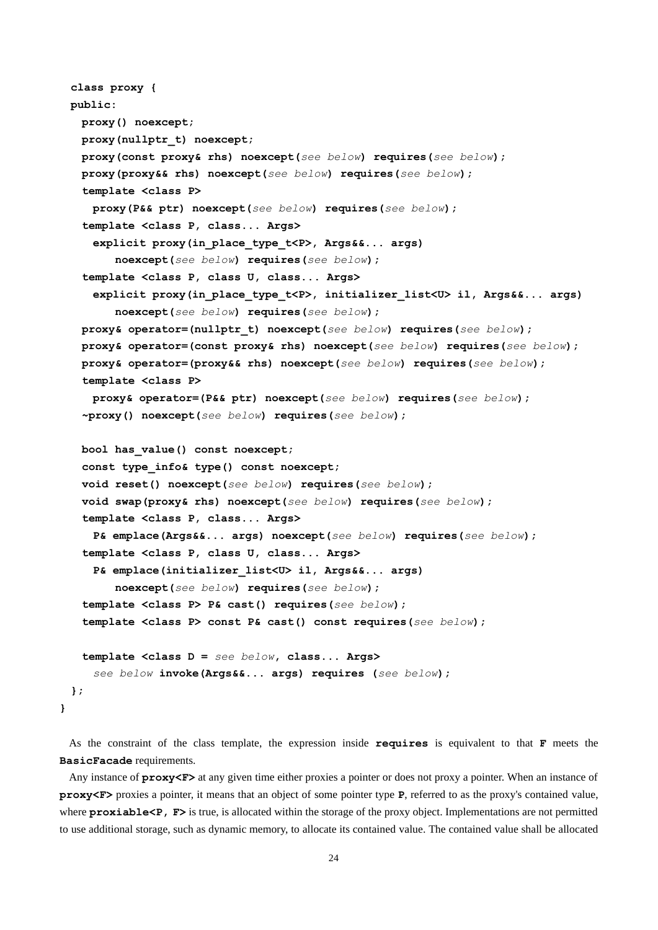```
 class proxy {
 public:
  proxy() noexcept;
  proxy(nullptr_t) noexcept;
  proxy(const proxy& rhs) noexcept(see below) requires(see below);
  proxy(proxy&& rhs) noexcept(see below) requires(see below);
  template <class P>
    proxy(P&& ptr) noexcept(see below) requires(see below);
  template <class P, class... Args>
    explicit proxy(in_place_type_t<P>, Args&&... args)
       noexcept(see below) requires(see below);
  template <class P, class U, class... Args>
    explicit proxy(in_place_type_t<P>, initializer_list<U> il, Args&&... args)
       noexcept(see below) requires(see below);
  proxy& operator=(nullptr_t) noexcept(see below) requires(see below);
  proxy& operator=(const proxy& rhs) noexcept(see below) requires(see below);
  proxy& operator=(proxy&& rhs) noexcept(see below) requires(see below);
  template <class P>
    proxy& operator=(P&& ptr) noexcept(see below) requires(see below);
  ~proxy() noexcept(see below) requires(see below);
  bool has_value() const noexcept;
  const type_info& type() const noexcept;
  void reset() noexcept(see below) requires(see below);
  void swap(proxy& rhs) noexcept(see below) requires(see below);
  template <class P, class... Args>
    P& emplace(Args&&... args) noexcept(see below) requires(see below);
  template <class P, class U, class... Args>
    P& emplace(initializer_list<U> il, Args&&... args)
       noexcept(see below) requires(see below);
  template <class P> P& cast() requires(see below);
  template <class P> const P& cast() const requires(see below);
  template <class D = see below, class... Args>
    see below invoke(Args&&... args) requires (see below);
 };
```
As the constraint of the class template, the expression inside **requires** is equivalent to that **F** meets the **BasicFacade** requirements.

**}**

Any instance of **proxy<F>** at any given time either proxies a pointer or does not proxy a pointer. When an instance of **proxy<F>** proxies a pointer, it means that an object of some pointer type **P**, referred to as the proxy's contained value, where **proxiable** <**P**, **F**> is true, is allocated within the storage of the proxy object. Implementations are not permitted to use additional storage, such as dynamic memory, to allocate its contained value. The contained value shall be allocated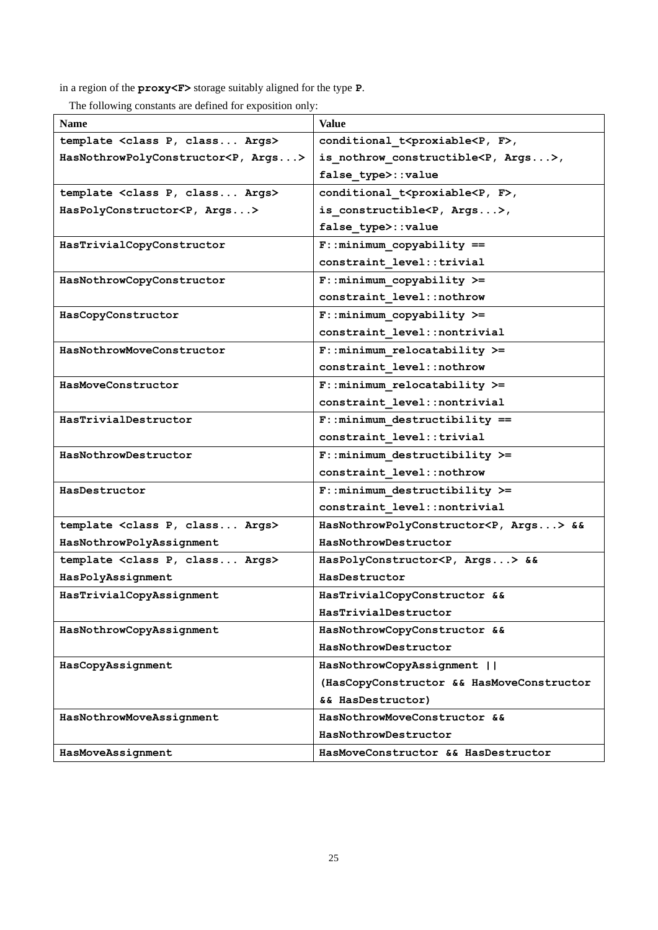in a region of the **proxy<F>** storage suitably aligned for the type **P**.

The following constants are defined for exposition only:

| <b>Name</b>                                     | <b>Value</b>                                           |
|-------------------------------------------------|--------------------------------------------------------|
| template <class args="" class="" p,=""></class> | conditional t <proxiable<p, f="">,</proxiable<p,>      |
| HasNothrowPolyConstructor <p, args=""></p,>     | is nothrow constructible <p, <math="">Args</p,>        |
|                                                 | false type>::value                                     |
| template <class args="" class="" p,=""></class> | conditional t <proxiable<p, f="">,</proxiable<p,>      |
| HasPolyConstructor <p, args=""></p,>            | is constructible <p, <math="">Args</p,>                |
|                                                 | false type>::value                                     |
| HasTrivialCopyConstructor                       | $F: : minimum copyability ==$                          |
|                                                 | constraint level::trivial                              |
| HasNothrowCopyConstructor                       | $F: minimum copyability$ >=                            |
|                                                 | constraint level::nothrow                              |
| HasCopyConstructor                              | $F: minimum copyability$ >=                            |
|                                                 | constraint level::nontrivial                           |
| HasNothrowMoveConstructor                       | $F:$ : minimum relocatability >=                       |
|                                                 | constraint level::nothrow                              |
| HasMoveConstructor                              | $F:$ : minimum relocatability >=                       |
|                                                 | constraint level::nontrivial                           |
| HasTrivialDestructor                            | $F:$ : minimum destructibility ==                      |
|                                                 | constraint level::trivial                              |
| HasNothrowDestructor                            | $F:$ : minimum destructibility >=                      |
|                                                 | constraint level::nothrow                              |
| HasDestructor                                   | $F:$ : minimum destructibility >=                      |
|                                                 | constraint level::nontrivial                           |
| template <class args="" class="" p,=""></class> | HasNothrowPolyConstructor <p, args=""> &amp;&amp;</p,> |
| HasNothrowPolyAssignment                        | HasNothrowDestructor                                   |
| template <class args="" class="" p,=""></class> | HasPolyConstructor <p, args=""> &amp;&amp;</p,>        |
| HasPolyAssignment                               | HasDestructor                                          |
| HasTrivialCopyAssignment                        | HasTrivialCopyConstructor &&                           |
|                                                 | HasTrivialDestructor                                   |
| HasNothrowCopyAssignment                        | HasNothrowCopyConstructor &&                           |
|                                                 | HasNothrowDestructor                                   |
| HasCopyAssignment                               | HasNothrowCopyAssignment                               |
|                                                 | (HasCopyConstructor && HasMoveConstructor              |
|                                                 | && HasDestructor)                                      |
| HasNothrowMoveAssignment                        | HasNothrowMoveConstructor &&                           |
|                                                 | HasNothrowDestructor                                   |
| HasMoveAssignment                               | HasMoveConstructor && HasDestructor                    |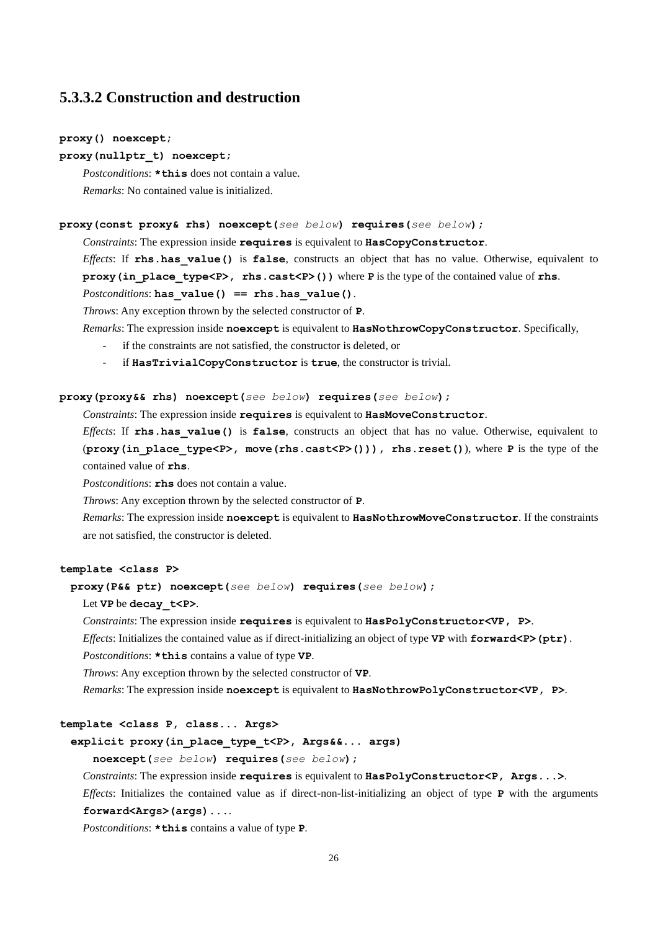### **5.3.3.2 Construction and destruction**

#### **proxy() noexcept;**

#### **proxy(nullptr\_t) noexcept;**

*Postconditions*: **\*this** does not contain a value. *Remarks*: No contained value is initialized.

#### **proxy(const proxy& rhs) noexcept(***see below***) requires(***see below***);**

*Constraints*: The expression inside **requires** is equivalent to **HasCopyConstructor**.

*Effects*: If **rhs.has\_value()** is **false**, constructs an object that has no value. Otherwise, equivalent to **proxy(in\_place\_type<P>, rhs.cast<P>())** where **P** is the type of the contained value of **rhs**.

#### *Postconditions*: **has\_value() == rhs.has\_value()**.

*Throws*: Any exception thrown by the selected constructor of **P**.

*Remarks*: The expression inside **noexcept** is equivalent to **HasNothrowCopyConstructor**. Specifically,

- if the constraints are not satisfied, the constructor is deleted, or
- if **HasTrivialCopyConstructor** is **true**, the constructor is trivial.

#### **proxy(proxy&& rhs) noexcept(***see below***) requires(***see below***);**

*Constraints*: The expression inside **requires** is equivalent to **HasMoveConstructor**.

*Effects*: If **rhs.has\_value()** is **false**, constructs an object that has no value. Otherwise, equivalent to (**proxy(in\_place\_type<P>, move(rhs.cast<P>())), rhs.reset()**), where **P** is the type of the contained value of **rhs**.

*Postconditions*: **rhs** does not contain a value.

*Throws*: Any exception thrown by the selected constructor of **P**.

*Remarks*: The expression inside **noexcept** is equivalent to **HasNothrowMoveConstructor**. If the constraints are not satisfied, the constructor is deleted.

#### **template <class P>**

 **proxy(P&& ptr) noexcept(***see below***) requires(***see below***);**

#### Let **VP** be **decay\_t<P>**.

*Constraints*: The expression inside **requires** is equivalent to **HasPolyConstructor<VP, P>**.

*Effects*: Initializes the contained value as if direct-initializing an object of type **VP** with **forward<P>(ptr)**.

*Postconditions*: **\*this** contains a value of type **VP**.

*Throws*: Any exception thrown by the selected constructor of **VP**.

*Remarks*: The expression inside **noexcept** is equivalent to **HasNothrowPolyConstructor<VP, P>**.

#### **template <class P, class... Args>**

#### **explicit proxy(in\_place\_type\_t<P>, Args&&... args)**

 **noexcept(***see below***) requires(***see below***);**

*Constraints*: The expression inside **requires** is equivalent to **HasPolyConstructor<P**, **Args...>**.

*Effects*: Initializes the contained value as if direct-non-list-initializing an object of type **P** with the arguments **forward<Args>(args)...**.

*Postconditions*: **\*this** contains a value of type **P**.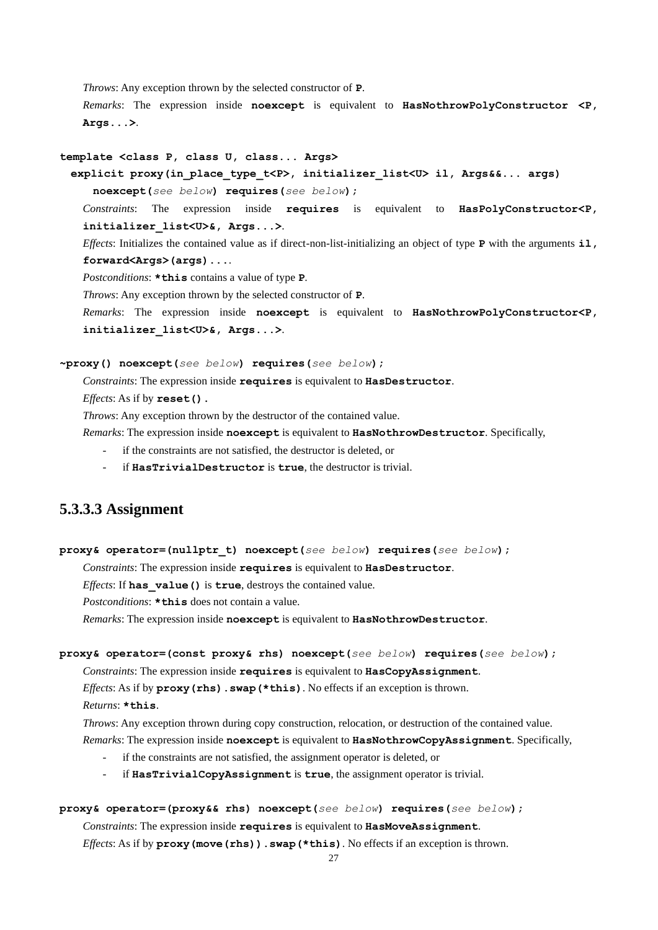*Throws*: Any exception thrown by the selected constructor of **P**.

*Remarks*: The expression inside **noexcept** is equivalent to **HasNothrowPolyConstructor <P, Args...>**.

#### **template <class P, class U, class... Args>**

 **explicit proxy(in\_place\_type\_t<P>, initializer\_list<U> il, Args&&... args)**

 **noexcept(***see below***) requires(***see below***);**

*Constraints*: The expression inside **requires** is equivalent to **HasPolyConstructor<P, initializer\_list<U>&, Args...>**.

*Effects*: Initializes the contained value as if direct-non-list-initializing an object of type **P** with the arguments **il, forward<Args>(args)...**.

*Postconditions*: **\*this** contains a value of type **P**.

*Throws*: Any exception thrown by the selected constructor of **P**.

*Remarks*: The expression inside **noexcept** is equivalent to **HasNothrowPolyConstructor<P, initializer\_list<U>&, Args...>**.

#### **~proxy() noexcept(***see below***) requires(***see below***);**

*Constraints*: The expression inside **requires** is equivalent to **HasDestructor**.

*Effects*: As if by **reset().**

*Throws*: Any exception thrown by the destructor of the contained value.

*Remarks*: The expression inside **noexcept** is equivalent to **HasNothrowDestructor**. Specifically,

- if the constraints are not satisfied, the destructor is deleted, or
- if **HasTrivialDestructor** is **true**, the destructor is trivial.

### **5.3.3.3 Assignment**

**proxy& operator=(nullptr\_t) noexcept(***see below***) requires(***see below***);**

*Constraints*: The expression inside **requires** is equivalent to **HasDestructor**.

*Effects*: If **has\_value()** is **true**, destroys the contained value.

*Postconditions*: **\*this** does not contain a value.

*Remarks*: The expression inside **noexcept** is equivalent to **HasNothrowDestructor**.

#### **proxy& operator=(const proxy& rhs) noexcept(***see below***) requires(***see below***);**

*Constraints*: The expression inside **requires** is equivalent to **HasCopyAssignment**.

*Effects*: As if by  $proxy(rhs)$ . swap(\*this). No effects if an exception is thrown.

*Returns*: **\*this**.

*Throws*: Any exception thrown during copy construction, relocation, or destruction of the contained value. *Remarks*: The expression inside **noexcept** is equivalent to **HasNothrowCopyAssignment**. Specifically,

- if the constraints are not satisfied, the assignment operator is deleted, or
- if **HasTrivialCopyAssignment** is **true**, the assignment operator is trivial.

#### **proxy& operator=(proxy&& rhs) noexcept(***see below***) requires(***see below***);**

*Constraints*: The expression inside **requires** is equivalent to **HasMoveAssignment**.

*Effects*: As if by **proxy** (move (rhs)). swap (\*this). No effects if an exception is thrown.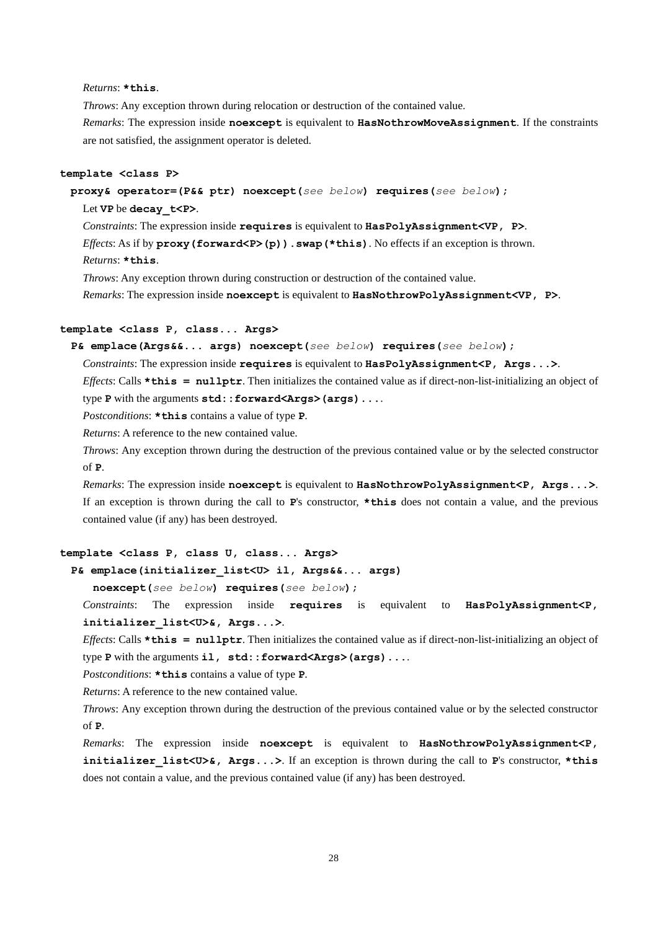*Returns*: **\*this**.

*Throws*: Any exception thrown during relocation or destruction of the contained value. *Remarks*: The expression inside **noexcept** is equivalent to **HasNothrowMoveAssignment**. If the constraints are not satisfied, the assignment operator is deleted.

#### **template <class P>**

 **proxy& operator=(P&& ptr) noexcept(***see below***) requires(***see below***);**

#### Let **VP** be **decay\_t<P>**.

*Constraints*: The expression inside **requires** is equivalent to **HasPolyAssignment<VP, P>**. *Effects*: As if by **proxy** (**forward <P>(p)**). swap (\*this). No effects if an exception is thrown. *Returns*: **\*this**.

*Throws*: Any exception thrown during construction or destruction of the contained value.

*Remarks*: The expression inside **noexcept** is equivalent to **HasNothrowPolyAssignment<VP, P>**.

#### **template <class P, class... Args>**

 **P& emplace(Args&&... args) noexcept(***see below***) requires(***see below***);**

*Constraints*: The expression inside **requires** is equivalent to **HasPolyAssignment<P**, Args...>.

*Effects*: Calls  $\star$ **this = nullptr**. Then initializes the contained value as if direct-non-list-initializing an object of type **P** with the arguments **std::forward<Args>(args)...**.

*Postconditions*: **\*this** contains a value of type **P**.

*Returns*: A reference to the new contained value.

*Throws*: Any exception thrown during the destruction of the previous contained value or by the selected constructor of **P**.

*Remarks*: The expression inside **noexcept** is equivalent to **HasNothrowPolyAssignment<P, Args...>**. If an exception is thrown during the call to **P**'s constructor, **\*this** does not contain a value, and the previous contained value (if any) has been destroyed.

#### **template <class P, class U, class... Args>**

 **P& emplace(initializer\_list<U> il, Args&&... args)**

 **noexcept(***see below***) requires(***see below***);**

*Constraints*: The expression inside **requires** is equivalent to **HasPolyAssignment<P, initializer\_list<U>&, Args...>**.

*Effects*: Calls **\*this = nullptr**. Then initializes the contained value as if direct-non-list-initializing an object of type P with the arguments il, std::forward<Args>(args)....

*Postconditions*: **\*this** contains a value of type **P**.

*Returns*: A reference to the new contained value.

*Throws*: Any exception thrown during the destruction of the previous contained value or by the selected constructor of **P**.

*Remarks*: The expression inside **noexcept** is equivalent to **HasNothrowPolyAssignment<P, initializer\_list<U>&, Args...>**. If an exception is thrown during the call to **P**'s constructor, **\*this** does not contain a value, and the previous contained value (if any) has been destroyed.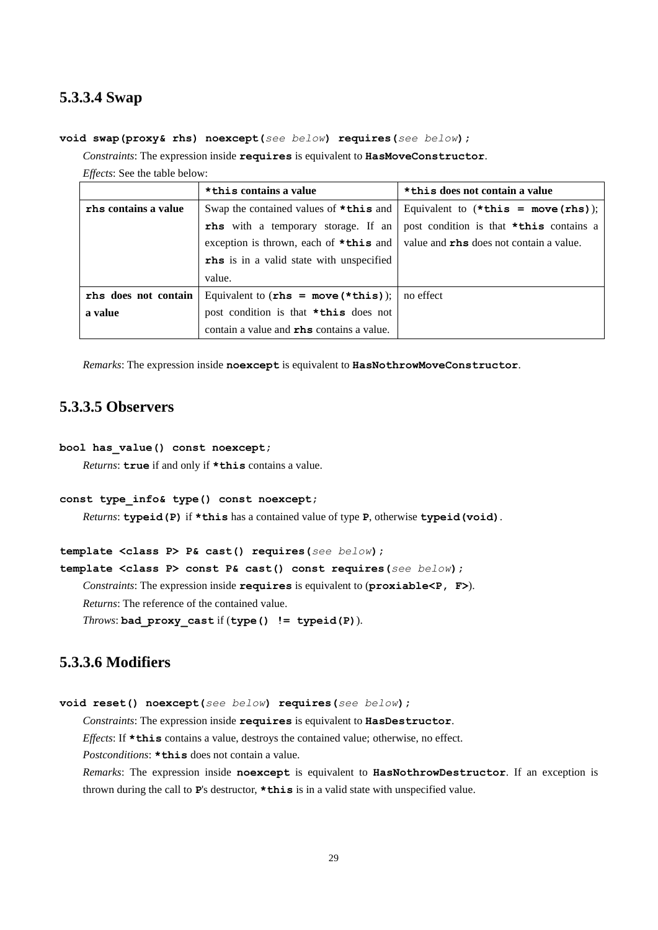### **5.3.3.4 Swap**

#### **void swap(proxy& rhs) noexcept(***see below***) requires(***see below***);**

*Constraints*: The expression inside **requires** is equivalent to **HasMoveConstructor**.

*Effects*: See the table below:

|                      | * this contains a value                           | *this does not contain a value                                                   |
|----------------------|---------------------------------------------------|----------------------------------------------------------------------------------|
| rhs contains a value |                                                   | Swap the contained values of $*$ this and Equivalent to $(*$ this = move (rhs)); |
|                      | <b>rhs</b> with a temporary storage. If an        | post condition is that *this contains a                                          |
|                      | exception is thrown, each of $\star$ this and     | value and rhs does not contain a value.                                          |
|                      | <b>rhs</b> is in a valid state with unspecified   |                                                                                  |
|                      | value.                                            |                                                                                  |
| rhs does not contain | Equivalent to $(rhs = move(*this))$ ;   no effect |                                                                                  |
| a value              | post condition is that <b>*this</b> does not      |                                                                                  |
|                      | contain a value and <b>rhs</b> contains a value.  |                                                                                  |

*Remarks*: The expression inside **noexcept** is equivalent to **HasNothrowMoveConstructor**.

### **5.3.3.5 Observers**

#### **bool has\_value() const noexcept;**

*Returns*: **true** if and only if **\*this** contains a value.

#### **const type\_info& type() const noexcept;**

*Returns*: **typeid(P)** if **\*this** has a contained value of type **P**, otherwise **typeid(void)**.

**template <class P> P& cast() requires(***see below***);**

**template <class P> const P& cast() const requires(***see below***);**

*Constraints*: The expression inside **requires** is equivalent to (**proxiable<P, F>**).

*Returns*: The reference of the contained value.

*Throws*: **bad\_proxy\_cast** if (**type() != typeid(P)**).

### **5.3.3.6 Modifiers**

```
void reset() noexcept(see below) requires(see below);
```
*Constraints*: The expression inside **requires** is equivalent to **HasDestructor**.

*Effects*: If **\*this** contains a value, destroys the contained value; otherwise, no effect.

*Postconditions*: **\*this** does not contain a value.

*Remarks*: The expression inside **noexcept** is equivalent to **HasNothrowDestructor**. If an exception is thrown during the call to **P**'s destructor, **\*this** is in a valid state with unspecified value.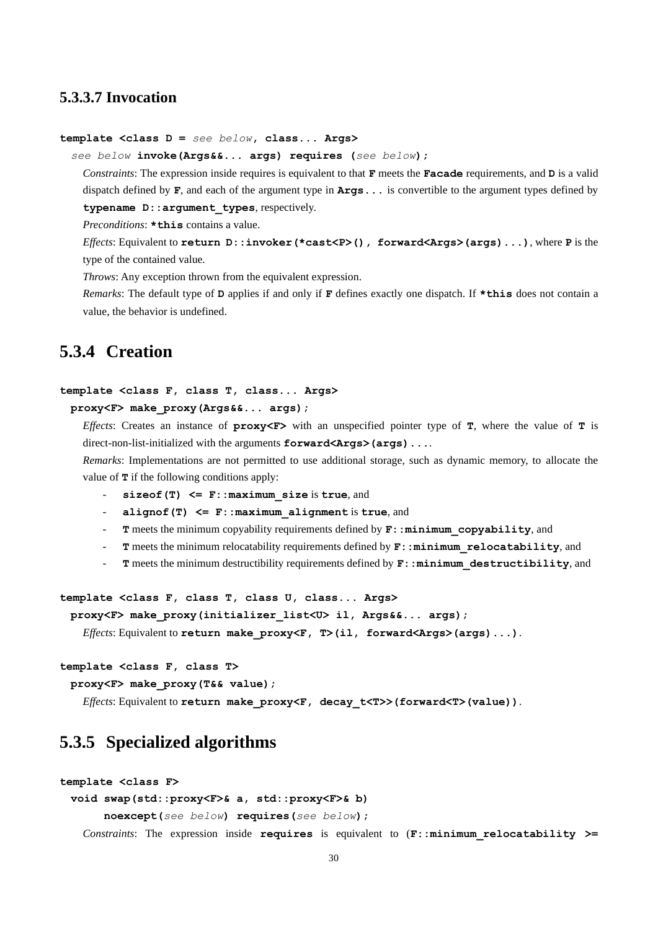### **5.3.3.7 Invocation**

#### **template <class D =** *see below***, class... Args>**

*see below* **invoke(Args&&... args) requires (***see below***);**

*Constraints*: The expression inside requires is equivalent to that **F** meets the **Facade** requirements, and **D** is a valid dispatch defined by **F**, and each of the argument type in **Args...** is convertible to the argument types defined by **typename D::argument\_types**, respectively.

*Preconditions*: **\*this** contains a value.

*Effects*: Equivalent to **return D::invoker(\*cast<P>(), forward<Args>(args)...)**, where **P** is the type of the contained value.

*Throws*: Any exception thrown from the equivalent expression.

*Remarks*: The default type of **D** applies if and only if **F** defines exactly one dispatch. If **\*this** does not contain a value, the behavior is undefined.

### <span id="page-29-0"></span>**5.3.4 Creation**

#### **template <class F, class T, class... Args>**

 **proxy<F> make\_proxy(Args&&... args);**

*Effects*: Creates an instance of **proxy<F>** with an unspecified pointer type of **T**, where the value of **T** is direct-non-list-initialized with the arguments **forward<Args>(args)....** 

*Remarks*: Implementations are not permitted to use additional storage, such as dynamic memory, to allocate the value of **T** if the following conditions apply:

- **sizeof(T) <= F::maximum\_size** is **true**, and
- **alignof(T) <= F::maximum\_alignment** is **true**, and
- **T** meets the minimum copyability requirements defined by  $\mathbf{F}$ : : minimum copyability, and
- **T** meets the minimum relocatability requirements defined by **F::minimum\_relocatability**, and
- **T** meets the minimum destructibility requirements defined by **F::minimum\_destructibility**, and

```
template <class F, class T, class U, class... Args>
```

```
 proxy<F> make_proxy(initializer_list<U> il, Args&&... args);
```
*Effects*: Equivalent to **return make\_proxy<F, T>(il, forward<Args>(args)...)**.

#### **template <class F, class T>**

 **proxy<F> make\_proxy(T&& value);**

*Effects*: Equivalent to **return make\_proxy<F, decay\_t<T>>(forward<T>(value))**.

### <span id="page-29-1"></span>**5.3.5 Specialized algorithms**

#### **template <class F>**

#### **void swap(std::proxy<F>& a, std::proxy<F>& b)**

 **noexcept(***see below***) requires(***see below***);**

*Constraints*: The expression inside **requires** is equivalent to (**F::minimum\_relocatability >=**